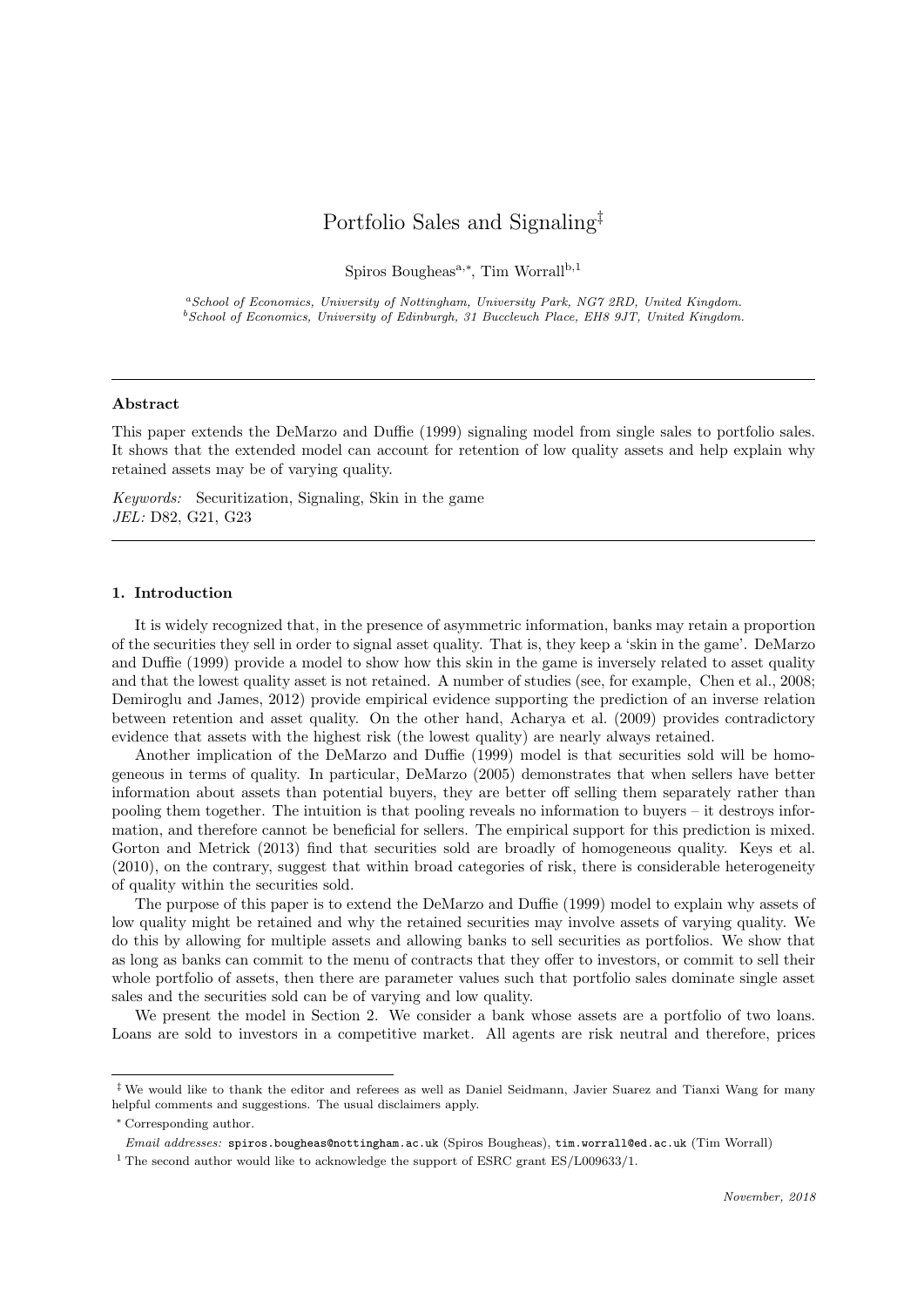# Portfolio Sales and Signaling‡

Spiros Bougheas<sup>a,∗</sup>, Tim Worrall<sup>b,1</sup>

<sup>a</sup>School of Economics, University of Nottingham, University Park, NG7 2RD, United Kingdom.  $^{b}$  School of Economics, University of Edinburgh, 31 Buccleuch Place, EH8 9JT, United Kingdom.

## Abstract

This paper extends the DeMarzo and Duffie (1999) signaling model from single sales to portfolio sales. It shows that the extended model can account for retention of low quality assets and help explain why retained assets may be of varying quality.

Keywords: Securitization, Signaling, Skin in the game JEL: D82, G21, G23

## 1. Introduction

It is widely recognized that, in the presence of asymmetric information, banks may retain a proportion of the securities they sell in order to signal asset quality. That is, they keep a 'skin in the game'. DeMarzo and Duffie (1999) provide a model to show how this skin in the game is inversely related to asset quality and that the lowest quality asset is not retained. A number of studies (see, for example, Chen et al., 2008; Demiroglu and James, 2012) provide empirical evidence supporting the prediction of an inverse relation between retention and asset quality. On the other hand, Acharya et al. (2009) provides contradictory evidence that assets with the highest risk (the lowest quality) are nearly always retained.

Another implication of the DeMarzo and Duffie (1999) model is that securities sold will be homogeneous in terms of quality. In particular, DeMarzo (2005) demonstrates that when sellers have better information about assets than potential buyers, they are better off selling them separately rather than pooling them together. The intuition is that pooling reveals no information to buyers – it destroys information, and therefore cannot be beneficial for sellers. The empirical support for this prediction is mixed. Gorton and Metrick (2013) find that securities sold are broadly of homogeneous quality. Keys et al. (2010), on the contrary, suggest that within broad categories of risk, there is considerable heterogeneity of quality within the securities sold.

The purpose of this paper is to extend the DeMarzo and Duffie (1999) model to explain why assets of low quality might be retained and why the retained securities may involve assets of varying quality. We do this by allowing for multiple assets and allowing banks to sell securities as portfolios. We show that as long as banks can commit to the menu of contracts that they offer to investors, or commit to sell their whole portfolio of assets, then there are parameter values such that portfolio sales dominate single asset sales and the securities sold can be of varying and low quality.

We present the model in Section 2. We consider a bank whose assets are a portfolio of two loans. Loans are sold to investors in a competitive market. All agents are risk neutral and therefore, prices

<sup>‡</sup> We would like to thank the editor and referees as well as Daniel Seidmann, Javier Suarez and Tianxi Wang for many helpful comments and suggestions. The usual disclaimers apply.

<sup>∗</sup> Corresponding author.

Email addresses: spiros.bougheas@nottingham.ac.uk (Spiros Bougheas), tim.worrall@ed.ac.uk (Tim Worrall)

<sup>&</sup>lt;sup>1</sup> The second author would like to acknowledge the support of ESRC grant ES/L009633/1.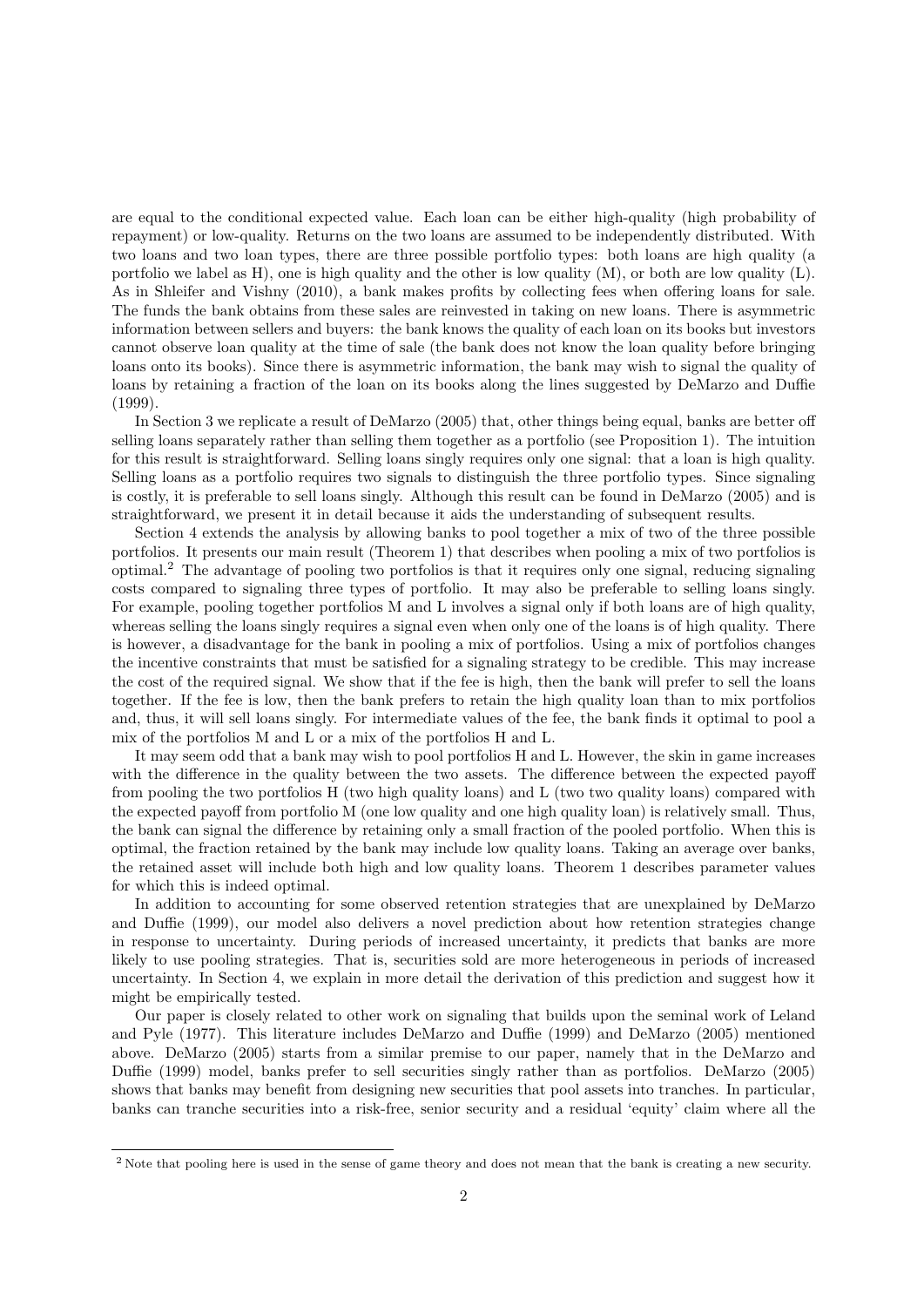are equal to the conditional expected value. Each loan can be either high-quality (high probability of repayment) or low-quality. Returns on the two loans are assumed to be independently distributed. With two loans and two loan types, there are three possible portfolio types: both loans are high quality (a portfolio we label as H), one is high quality and the other is low quality (M), or both are low quality (L). As in Shleifer and Vishny (2010), a bank makes profits by collecting fees when offering loans for sale. The funds the bank obtains from these sales are reinvested in taking on new loans. There is asymmetric information between sellers and buyers: the bank knows the quality of each loan on its books but investors cannot observe loan quality at the time of sale (the bank does not know the loan quality before bringing loans onto its books). Since there is asymmetric information, the bank may wish to signal the quality of loans by retaining a fraction of the loan on its books along the lines suggested by DeMarzo and Duffie (1999).

In Section 3 we replicate a result of DeMarzo (2005) that, other things being equal, banks are better off selling loans separately rather than selling them together as a portfolio (see Proposition 1). The intuition for this result is straightforward. Selling loans singly requires only one signal: that a loan is high quality. Selling loans as a portfolio requires two signals to distinguish the three portfolio types. Since signaling is costly, it is preferable to sell loans singly. Although this result can be found in DeMarzo (2005) and is straightforward, we present it in detail because it aids the understanding of subsequent results.

Section 4 extends the analysis by allowing banks to pool together a mix of two of the three possible portfolios. It presents our main result (Theorem 1) that describes when pooling a mix of two portfolios is optimal.<sup>2</sup> The advantage of pooling two portfolios is that it requires only one signal, reducing signaling costs compared to signaling three types of portfolio. It may also be preferable to selling loans singly. For example, pooling together portfolios M and L involves a signal only if both loans are of high quality, whereas selling the loans singly requires a signal even when only one of the loans is of high quality. There is however, a disadvantage for the bank in pooling a mix of portfolios. Using a mix of portfolios changes the incentive constraints that must be satisfied for a signaling strategy to be credible. This may increase the cost of the required signal. We show that if the fee is high, then the bank will prefer to sell the loans together. If the fee is low, then the bank prefers to retain the high quality loan than to mix portfolios and, thus, it will sell loans singly. For intermediate values of the fee, the bank finds it optimal to pool a mix of the portfolios M and L or a mix of the portfolios H and L.

It may seem odd that a bank may wish to pool portfolios H and L. However, the skin in game increases with the difference in the quality between the two assets. The difference between the expected payoff from pooling the two portfolios H (two high quality loans) and L (two two quality loans) compared with the expected payoff from portfolio M (one low quality and one high quality loan) is relatively small. Thus, the bank can signal the difference by retaining only a small fraction of the pooled portfolio. When this is optimal, the fraction retained by the bank may include low quality loans. Taking an average over banks, the retained asset will include both high and low quality loans. Theorem 1 describes parameter values for which this is indeed optimal.

In addition to accounting for some observed retention strategies that are unexplained by DeMarzo and Duffie (1999), our model also delivers a novel prediction about how retention strategies change in response to uncertainty. During periods of increased uncertainty, it predicts that banks are more likely to use pooling strategies. That is, securities sold are more heterogeneous in periods of increased uncertainty. In Section 4, we explain in more detail the derivation of this prediction and suggest how it might be empirically tested.

Our paper is closely related to other work on signaling that builds upon the seminal work of Leland and Pyle (1977). This literature includes DeMarzo and Duffie (1999) and DeMarzo (2005) mentioned above. DeMarzo (2005) starts from a similar premise to our paper, namely that in the DeMarzo and Duffie (1999) model, banks prefer to sell securities singly rather than as portfolios. DeMarzo (2005) shows that banks may benefit from designing new securities that pool assets into tranches. In particular, banks can tranche securities into a risk-free, senior security and a residual 'equity' claim where all the

<sup>&</sup>lt;sup>2</sup> Note that pooling here is used in the sense of game theory and does not mean that the bank is creating a new security.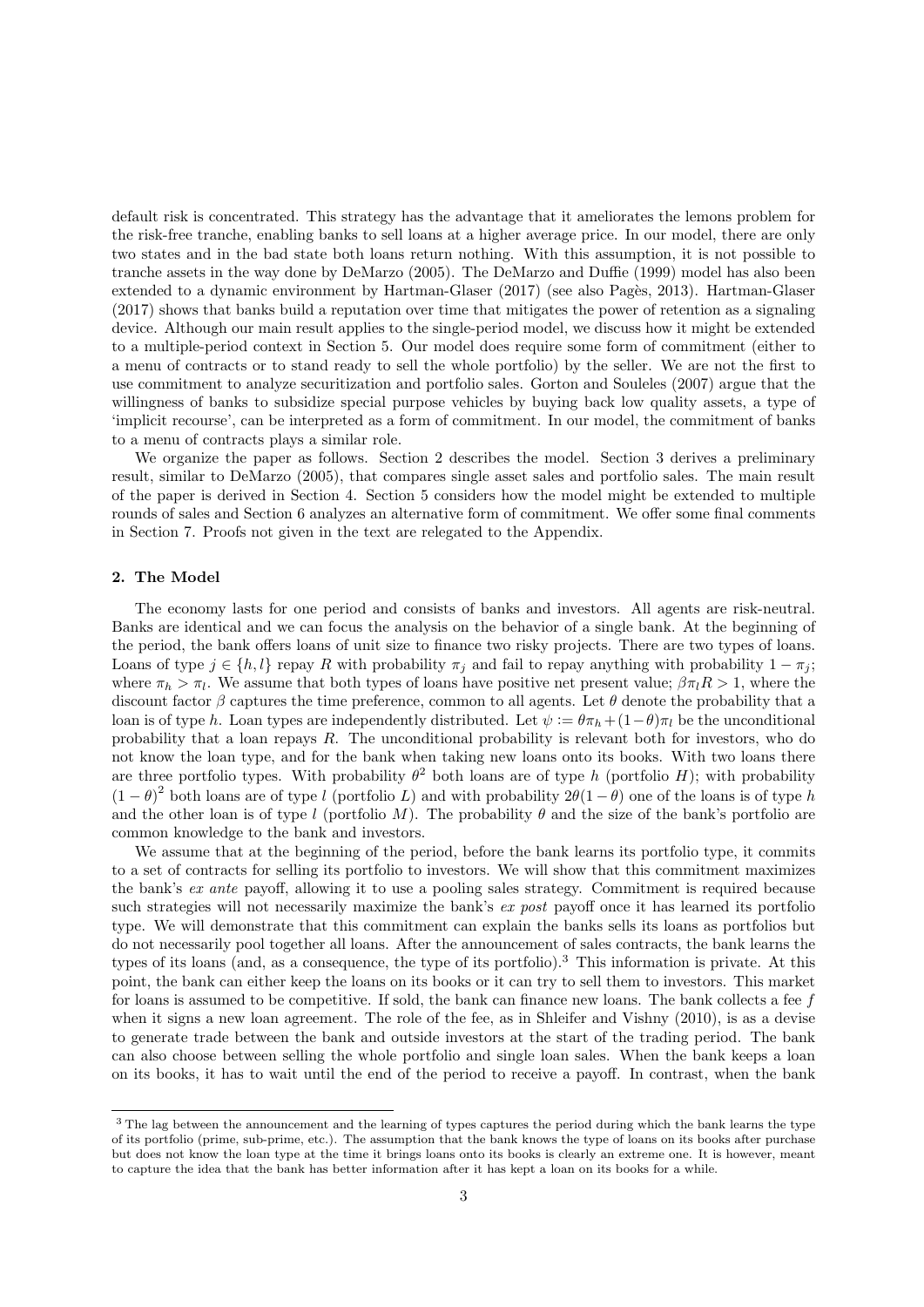default risk is concentrated. This strategy has the advantage that it ameliorates the lemons problem for the risk-free tranche, enabling banks to sell loans at a higher average price. In our model, there are only two states and in the bad state both loans return nothing. With this assumption, it is not possible to tranche assets in the way done by DeMarzo (2005). The DeMarzo and Duffie (1999) model has also been extended to a dynamic environment by Hartman-Glaser (2017) (see also Pagès, 2013). Hartman-Glaser (2017) shows that banks build a reputation over time that mitigates the power of retention as a signaling device. Although our main result applies to the single-period model, we discuss how it might be extended to a multiple-period context in Section 5. Our model does require some form of commitment (either to a menu of contracts or to stand ready to sell the whole portfolio) by the seller. We are not the first to use commitment to analyze securitization and portfolio sales. Gorton and Souleles (2007) argue that the willingness of banks to subsidize special purpose vehicles by buying back low quality assets, a type of 'implicit recourse', can be interpreted as a form of commitment. In our model, the commitment of banks to a menu of contracts plays a similar role.

We organize the paper as follows. Section 2 describes the model. Section 3 derives a preliminary result, similar to DeMarzo (2005), that compares single asset sales and portfolio sales. The main result of the paper is derived in Section 4. Section 5 considers how the model might be extended to multiple rounds of sales and Section 6 analyzes an alternative form of commitment. We offer some final comments in Section 7. Proofs not given in the text are relegated to the Appendix.

## 2. The Model

The economy lasts for one period and consists of banks and investors. All agents are risk-neutral. Banks are identical and we can focus the analysis on the behavior of a single bank. At the beginning of the period, the bank offers loans of unit size to finance two risky projects. There are two types of loans. Loans of type  $j \in \{h, l\}$  repay R with probability  $\pi_j$  and fail to repay anything with probability  $1 - \pi_j$ ; where  $\pi_h > \pi_l$ . We assume that both types of loans have positive net present value;  $\beta \pi_l R > 1$ , where the discount factor  $\beta$  captures the time preference, common to all agents. Let  $\theta$  denote the probability that a loan is of type h. Loan types are independently distributed. Let  $\psi := \theta \pi_h + (1-\theta) \pi_l$  be the unconditional probability that a loan repays  $R$ . The unconditional probability is relevant both for investors, who do not know the loan type, and for the bank when taking new loans onto its books. With two loans there are three portfolio types. With probability  $\theta^2$  both loans are of type h (portfolio H); with probability  $(1 - \theta)^2$  both loans are of type l (portfolio L) and with probability  $2\theta(1 - \theta)$  one of the loans is of type h and the other loan is of type l (portfolio M). The probability  $\theta$  and the size of the bank's portfolio are common knowledge to the bank and investors.

We assume that at the beginning of the period, before the bank learns its portfolio type, it commits to a set of contracts for selling its portfolio to investors. We will show that this commitment maximizes the bank's ex ante payoff, allowing it to use a pooling sales strategy. Commitment is required because such strategies will not necessarily maximize the bank's ex post payoff once it has learned its portfolio type. We will demonstrate that this commitment can explain the banks sells its loans as portfolios but do not necessarily pool together all loans. After the announcement of sales contracts, the bank learns the types of its loans (and, as a consequence, the type of its portfolio).<sup>3</sup> This information is private. At this point, the bank can either keep the loans on its books or it can try to sell them to investors. This market for loans is assumed to be competitive. If sold, the bank can finance new loans. The bank collects a fee  $f$ when it signs a new loan agreement. The role of the fee, as in Shleifer and Vishny (2010), is as a devise to generate trade between the bank and outside investors at the start of the trading period. The bank can also choose between selling the whole portfolio and single loan sales. When the bank keeps a loan on its books, it has to wait until the end of the period to receive a payoff. In contrast, when the bank

<sup>&</sup>lt;sup>3</sup> The lag between the announcement and the learning of types captures the period during which the bank learns the type of its portfolio (prime, sub-prime, etc.). The assumption that the bank knows the type of loans on its books after purchase but does not know the loan type at the time it brings loans onto its books is clearly an extreme one. It is however, meant to capture the idea that the bank has better information after it has kept a loan on its books for a while.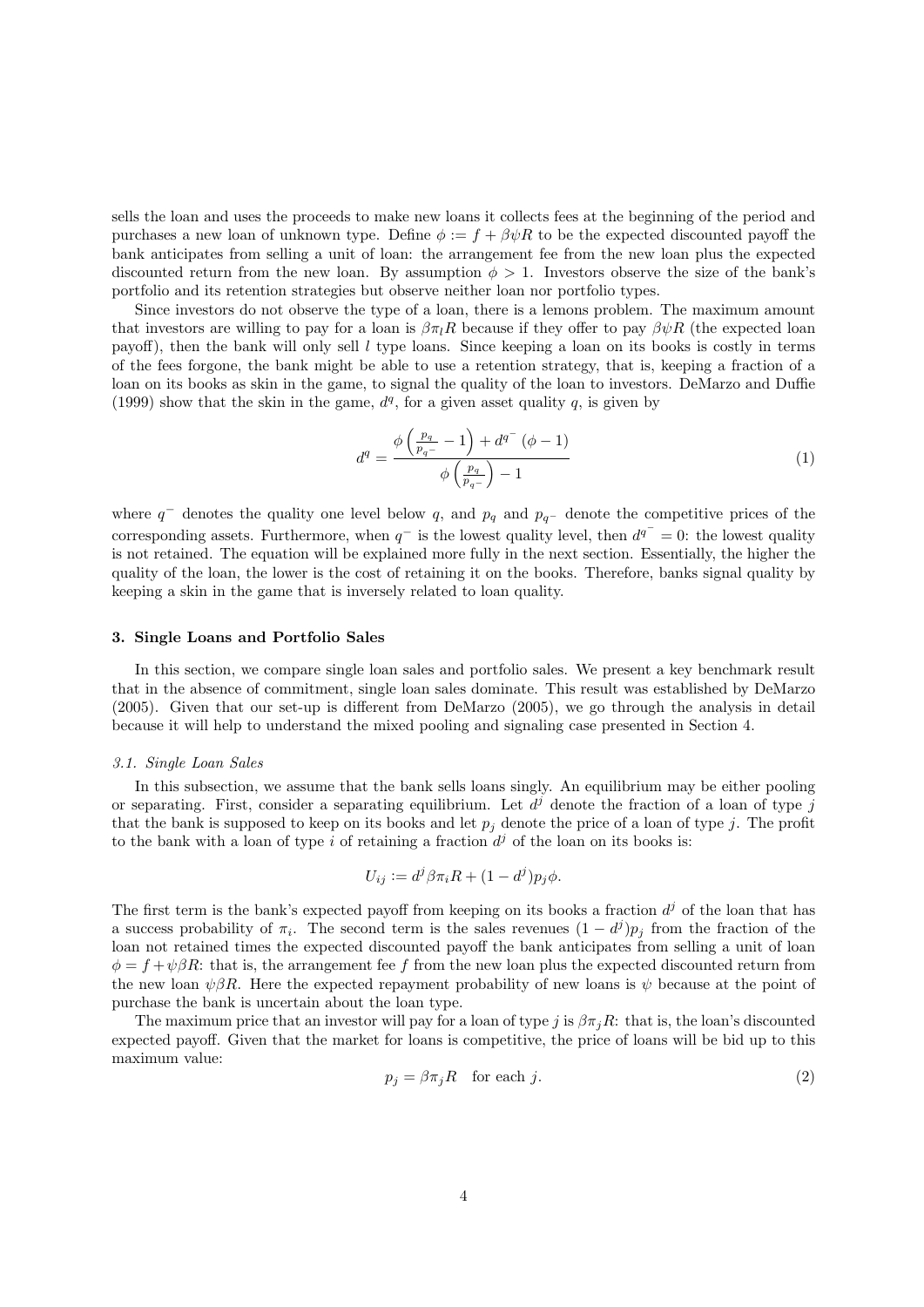sells the loan and uses the proceeds to make new loans it collects fees at the beginning of the period and purchases a new loan of unknown type. Define  $\phi := f + \beta \psi R$  to be the expected discounted payoff the bank anticipates from selling a unit of loan: the arrangement fee from the new loan plus the expected discounted return from the new loan. By assumption  $\phi > 1$ . Investors observe the size of the bank's portfolio and its retention strategies but observe neither loan nor portfolio types.

Since investors do not observe the type of a loan, there is a lemons problem. The maximum amount that investors are willing to pay for a loan is  $\beta \pi_l R$  because if they offer to pay  $\beta \psi R$  (the expected loan payoff), then the bank will only sell  $l$  type loans. Since keeping a loan on its books is costly in terms of the fees forgone, the bank might be able to use a retention strategy, that is, keeping a fraction of a loan on its books as skin in the game, to signal the quality of the loan to investors. DeMarzo and Duffie (1999) show that the skin in the game,  $d<sup>q</sup>$ , for a given asset quality q, is given by

$$
d^{q} = \frac{\phi\left(\frac{p_{q}}{p_{q^{-}}}-1\right) + d^{q^{-}}\left(\phi - 1\right)}{\phi\left(\frac{p_{q}}{p_{q^{-}}}\right) - 1} \tag{1}
$$

where  $q^-$  denotes the quality one level below q, and  $p_q$  and  $p_{q^-}$  denote the competitive prices of the corresponding assets. Furthermore, when  $q^-$  is the lowest quality level, then  $d^{q^-} = 0$ : the lowest quality is not retained. The equation will be explained more fully in the next section. Essentially, the higher the quality of the loan, the lower is the cost of retaining it on the books. Therefore, banks signal quality by keeping a skin in the game that is inversely related to loan quality.

#### 3. Single Loans and Portfolio Sales

In this section, we compare single loan sales and portfolio sales. We present a key benchmark result that in the absence of commitment, single loan sales dominate. This result was established by DeMarzo (2005). Given that our set-up is different from DeMarzo (2005), we go through the analysis in detail because it will help to understand the mixed pooling and signaling case presented in Section 4.

#### 3.1. Single Loan Sales

In this subsection, we assume that the bank sells loans singly. An equilibrium may be either pooling or separating. First, consider a separating equilibrium. Let  $d<sup>j</sup>$  denote the fraction of a loan of type j that the bank is supposed to keep on its books and let  $p_i$  denote the price of a loan of type j. The profit to the bank with a loan of type i of retaining a fraction  $d<sup>j</sup>$  of the loan on its books is:

$$
U_{ij} := d^j \beta \pi_i R + (1 - d^j) p_j \phi.
$$

The first term is the bank's expected payoff from keeping on its books a fraction  $d<sup>j</sup>$  of the loan that has a success probability of  $\pi_i$ . The second term is the sales revenues  $(1-d^j)p_j$  from the fraction of the loan not retained times the expected discounted payoff the bank anticipates from selling a unit of loan  $\phi = f + \psi \beta R$ : that is, the arrangement fee f from the new loan plus the expected discounted return from the new loan  $\psi\beta R$ . Here the expected repayment probability of new loans is  $\psi$  because at the point of purchase the bank is uncertain about the loan type.

The maximum price that an investor will pay for a loan of type j is  $\beta \pi_j R$ : that is, the loan's discounted expected payoff. Given that the market for loans is competitive, the price of loans will be bid up to this maximum value:

$$
p_j = \beta \pi_j R \quad \text{for each } j. \tag{2}
$$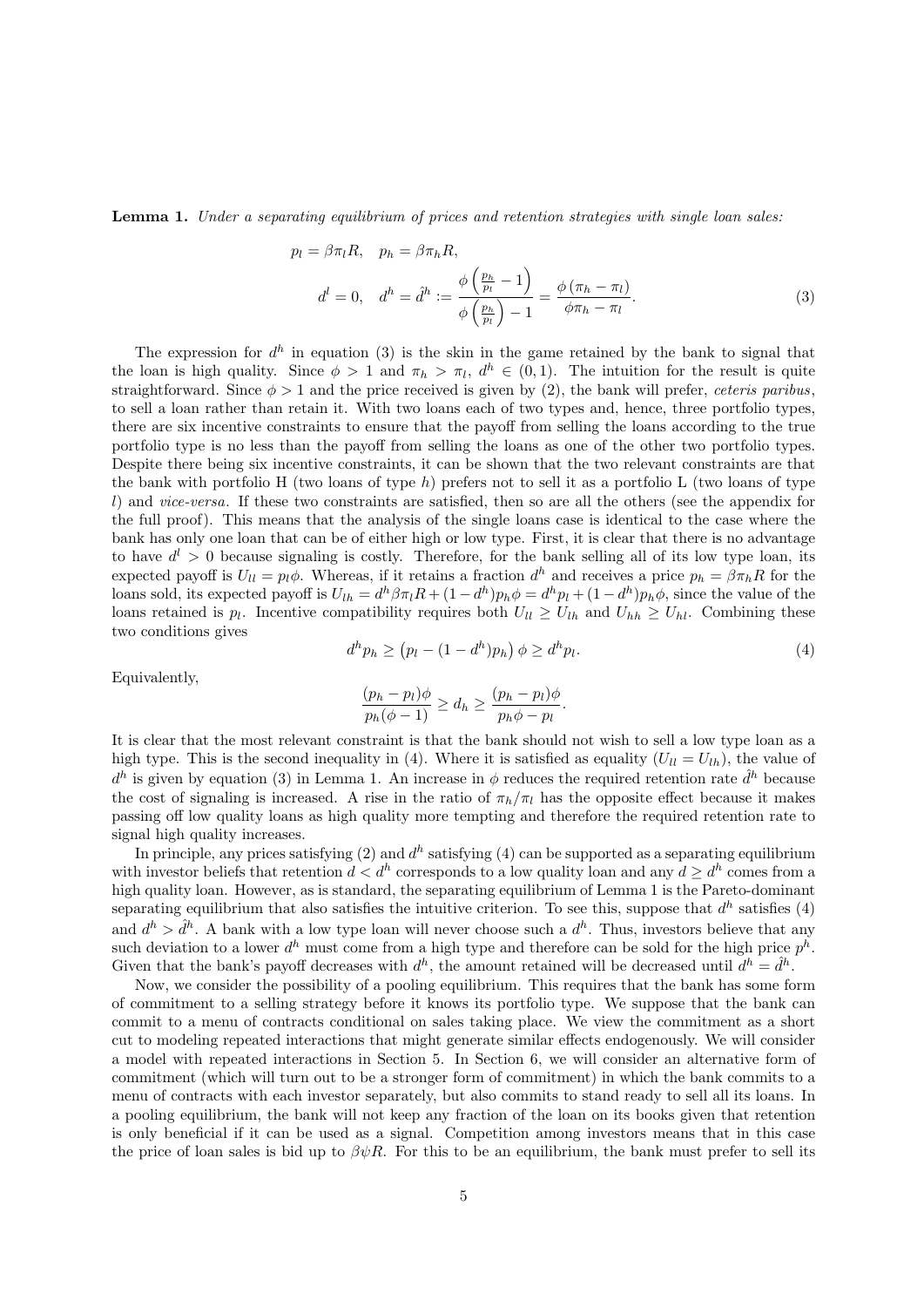Lemma 1. Under a separating equilibrium of prices and retention strategies with single loan sales:

$$
p_l = \beta \pi_l R, \quad p_h = \beta \pi_h R,
$$
  
\n
$$
d^l = 0, \quad d^h = \hat{d}^h := \frac{\phi\left(\frac{p_h}{p_l} - 1\right)}{\phi\left(\frac{p_h}{p_l}\right) - 1} = \frac{\phi\left(\pi_h - \pi_l\right)}{\phi \pi_h - \pi_l}.
$$
\n(3)

The expression for  $d^h$  in equation (3) is the skin in the game retained by the bank to signal that the loan is high quality. Since  $\phi > 1$  and  $\pi_h > \pi_l$ ,  $d^h \in (0,1)$ . The intuition for the result is quite straightforward. Since  $\phi > 1$  and the price received is given by (2), the bank will prefer, *ceteris paribus*, to sell a loan rather than retain it. With two loans each of two types and, hence, three portfolio types, there are six incentive constraints to ensure that the payoff from selling the loans according to the true portfolio type is no less than the payoff from selling the loans as one of the other two portfolio types. Despite there being six incentive constraints, it can be shown that the two relevant constraints are that the bank with portfolio H (two loans of type h) prefers not to sell it as a portfolio L (two loans of type l) and vice-versa. If these two constraints are satisfied, then so are all the others (see the appendix for the full proof). This means that the analysis of the single loans case is identical to the case where the bank has only one loan that can be of either high or low type. First, it is clear that there is no advantage to have  $d^l > 0$  because signaling is costly. Therefore, for the bank selling all of its low type loan, its expected payoff is  $U_{ll} = p_l \phi$ . Whereas, if it retains a fraction  $d^h$  and receives a price  $p_h = \beta \pi_h R$  for the loans sold, its expected payoff is  $U_{lh} = d^h \beta \pi_l R + (1 - d^h) p_h \phi = d^h p_l + (1 - d^h) p_h \phi$ , since the value of the loans retained is  $p_l$ . Incentive compatibility requires both  $U_{ll} \geq U_{lh}$  and  $U_{hh} \geq U_{hl}$ . Combining these two conditions gives

$$
d^h p_h \ge (p_l - (1 - d^h)p_h) \phi \ge d^h p_l. \tag{4}
$$

Equivalently,

$$
\frac{(p_h - p_l)\phi}{p_h(\phi - 1)} \ge d_h \ge \frac{(p_h - p_l)\phi}{p_h\phi - p_l}.
$$

It is clear that the most relevant constraint is that the bank should not wish to sell a low type loan as a high type. This is the second inequality in (4). Where it is satisfied as equality  $(U_{ll} = U_{lh})$ , the value of  $d^h$  is given by equation (3) in Lemma 1. An increase in  $\phi$  reduces the required retention rate  $\hat{d}^h$  because the cost of signaling is increased. A rise in the ratio of  $\pi_h/\pi_l$  has the opposite effect because it makes passing off low quality loans as high quality more tempting and therefore the required retention rate to signal high quality increases.

In principle, any prices satisfying (2) and  $d^h$  satisfying (4) can be supported as a separating equilibrium with investor beliefs that retention  $d < d^h$  corresponds to a low quality loan and any  $d \geq d^h$  comes from a high quality loan. However, as is standard, the separating equilibrium of Lemma 1 is the Pareto-dominant separating equilibrium that also satisfies the intuitive criterion. To see this, suppose that  $d^h$  satisfies (4) and  $d^h > \hat{d}^h$ . A bank with a low type loan will never choose such a  $d^h$ . Thus, investors believe that any such deviation to a lower  $d^h$  must come from a high type and therefore can be sold for the high price  $p^h$ . Given that the bank's payoff decreases with  $d^h$ , the amount retained will be decreased until  $d^h = \hat{d}^h$ .

Now, we consider the possibility of a pooling equilibrium. This requires that the bank has some form of commitment to a selling strategy before it knows its portfolio type. We suppose that the bank can commit to a menu of contracts conditional on sales taking place. We view the commitment as a short cut to modeling repeated interactions that might generate similar effects endogenously. We will consider a model with repeated interactions in Section 5. In Section 6, we will consider an alternative form of commitment (which will turn out to be a stronger form of commitment) in which the bank commits to a menu of contracts with each investor separately, but also commits to stand ready to sell all its loans. In a pooling equilibrium, the bank will not keep any fraction of the loan on its books given that retention is only beneficial if it can be used as a signal. Competition among investors means that in this case the price of loan sales is bid up to  $\beta \psi R$ . For this to be an equilibrium, the bank must prefer to sell its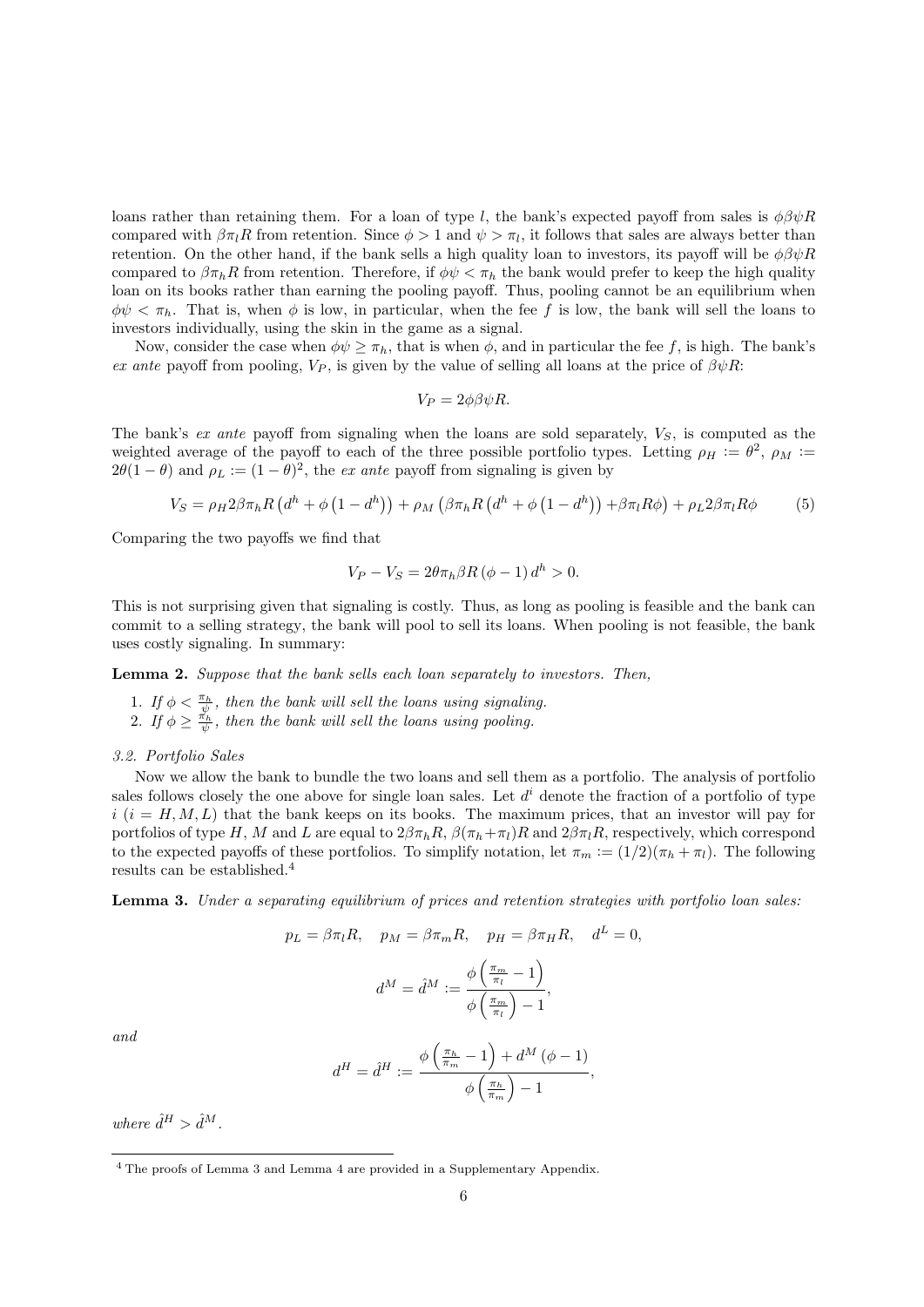loans rather than retaining them. For a loan of type l, the bank's expected payoff from sales is  $\phi \beta \psi R$ compared with  $\beta \pi_l R$  from retention. Since  $\phi > 1$  and  $\psi > \pi_l$ , it follows that sales are always better than retention. On the other hand, if the bank sells a high quality loan to investors, its payoff will be  $\phi\beta\psi R$ compared to  $\beta \pi_h R$  from retention. Therefore, if  $\phi \psi < \pi_h$  the bank would prefer to keep the high quality loan on its books rather than earning the pooling payoff. Thus, pooling cannot be an equilibrium when  $\phi \psi < \pi_h$ . That is, when  $\phi$  is low, in particular, when the fee f is low, the bank will sell the loans to investors individually, using the skin in the game as a signal.

Now, consider the case when  $\phi \psi \geq \pi_h$ , that is when  $\phi$ , and in particular the fee f, is high. The bank's ex ante payoff from pooling,  $V_P$ , is given by the value of selling all loans at the price of  $\beta \psi R$ :

$$
V_P = 2\phi\beta\psi R.
$$

The bank's ex ante payoff from signaling when the loans are sold separately,  $V<sub>S</sub>$ , is computed as the weighted average of the payoff to each of the three possible portfolio types. Letting  $\rho_H := \theta^2$ ,  $\rho_M :=$  $2\theta(1-\theta)$  and  $\rho_L := (1-\theta)^2$ , the *ex ante* payoff from signaling is given by

$$
V_S = \rho_H 2\beta \pi_h R \left(d^h + \phi \left(1 - d^h\right)\right) + \rho_M \left(\beta \pi_h R \left(d^h + \phi \left(1 - d^h\right)\right) + \beta \pi_l R \phi\right) + \rho_L 2\beta \pi_l R \phi \tag{5}
$$

Comparing the two payoffs we find that

$$
V_P - V_S = 2\theta \pi_h \beta R \left(\phi - 1\right) d^h > 0.
$$

This is not surprising given that signaling is costly. Thus, as long as pooling is feasible and the bank can commit to a selling strategy, the bank will pool to sell its loans. When pooling is not feasible, the bank uses costly signaling. In summary:

Lemma 2. Suppose that the bank sells each loan separately to investors. Then,

- 1. If  $\phi < \frac{\pi_h}{\psi}$ , then the bank will sell the loans using signaling.
- 2. If  $\phi \geq \frac{\vec{\pi}_h}{\psi}$ , then the bank will sell the loans using pooling.

#### 3.2. Portfolio Sales

Now we allow the bank to bundle the two loans and sell them as a portfolio. The analysis of portfolio sales follows closely the one above for single loan sales. Let  $d<sup>i</sup>$  denote the fraction of a portfolio of type  $i (i = H, M, L)$  that the bank keeps on its books. The maximum prices, that an investor will pay for portfolios of type H, M and L are equal to  $2\beta\pi_h R$ ,  $\beta(\pi_h+\pi_l)R$  and  $2\beta\pi_lR$ , respectively, which correspond to the expected payoffs of these portfolios. To simplify notation, let  $\pi_m := (1/2)(\pi_h + \pi_l)$ . The following results can be established.<sup>4</sup>

Lemma 3. Under a separating equilibrium of prices and retention strategies with portfolio loan sales:

$$
p_L = \beta \pi_l R, \quad p_M = \beta \pi_m R, \quad p_H = \beta \pi_H R, \quad d^L = 0,
$$

$$
d^M = \hat{d}^M := \frac{\phi\left(\frac{\pi_m}{\pi_l} - 1\right)}{\phi\left(\frac{\pi_m}{\pi_l}\right) - 1},
$$

and

$$
d^{H} = \hat{d}^{H} := \frac{\phi\left(\frac{\pi_{h}}{\pi_{m}} - 1\right) + d^{M}\left(\phi - 1\right)}{\phi\left(\frac{\pi_{h}}{\pi_{m}}\right) - 1},
$$

where  $\hat{d}^H > \hat{d}^M$ .

<sup>4</sup> The proofs of Lemma 3 and Lemma 4 are provided in a Supplementary Appendix.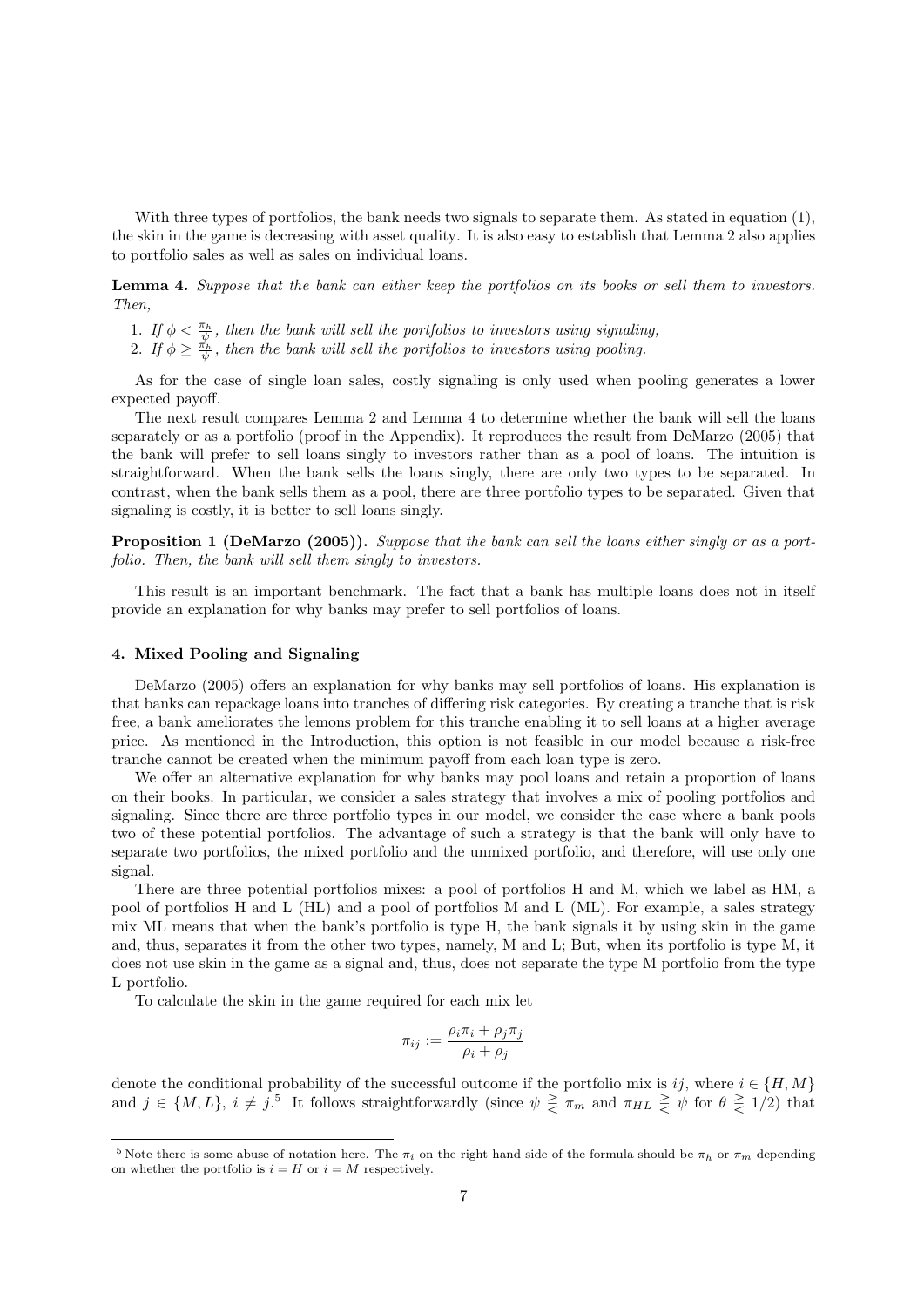With three types of portfolios, the bank needs two signals to separate them. As stated in equation  $(1)$ , the skin in the game is decreasing with asset quality. It is also easy to establish that Lemma 2 also applies to portfolio sales as well as sales on individual loans.

Lemma 4. Suppose that the bank can either keep the portfolios on its books or sell them to investors. Then,

- 1. If  $\phi < \frac{\pi_h}{\psi}$ , then the bank will sell the portfolios to investors using signaling,
- 2. If  $\phi \geq \frac{\tilde{\pi_h}}{\psi}$ , then the bank will sell the portfolios to investors using pooling.

As for the case of single loan sales, costly signaling is only used when pooling generates a lower expected payoff.

The next result compares Lemma 2 and Lemma 4 to determine whether the bank will sell the loans separately or as a portfolio (proof in the Appendix). It reproduces the result from DeMarzo (2005) that the bank will prefer to sell loans singly to investors rather than as a pool of loans. The intuition is straightforward. When the bank sells the loans singly, there are only two types to be separated. In contrast, when the bank sells them as a pool, there are three portfolio types to be separated. Given that signaling is costly, it is better to sell loans singly.

Proposition 1 (DeMarzo (2005)). Suppose that the bank can sell the loans either singly or as a portfolio. Then, the bank will sell them singly to investors.

This result is an important benchmark. The fact that a bank has multiple loans does not in itself provide an explanation for why banks may prefer to sell portfolios of loans.

# 4. Mixed Pooling and Signaling

DeMarzo (2005) offers an explanation for why banks may sell portfolios of loans. His explanation is that banks can repackage loans into tranches of differing risk categories. By creating a tranche that is risk free, a bank ameliorates the lemons problem for this tranche enabling it to sell loans at a higher average price. As mentioned in the Introduction, this option is not feasible in our model because a risk-free tranche cannot be created when the minimum payoff from each loan type is zero.

We offer an alternative explanation for why banks may pool loans and retain a proportion of loans on their books. In particular, we consider a sales strategy that involves a mix of pooling portfolios and signaling. Since there are three portfolio types in our model, we consider the case where a bank pools two of these potential portfolios. The advantage of such a strategy is that the bank will only have to separate two portfolios, the mixed portfolio and the unmixed portfolio, and therefore, will use only one signal.

There are three potential portfolios mixes: a pool of portfolios H and M, which we label as HM, a pool of portfolios H and L (HL) and a pool of portfolios M and L (ML). For example, a sales strategy mix ML means that when the bank's portfolio is type H, the bank signals it by using skin in the game and, thus, separates it from the other two types, namely, M and L; But, when its portfolio is type M, it does not use skin in the game as a signal and, thus, does not separate the type M portfolio from the type L portfolio.

To calculate the skin in the game required for each mix let

$$
\pi_{ij} := \frac{\rho_i \pi_i + \rho_j \pi_j}{\rho_i + \rho_j}
$$

denote the conditional probability of the successful outcome if the portfolio mix is ij, where  $i \in \{H, M\}$ and  $j \in \{M, L\}$ ,  $i \neq j$ .<sup>5</sup> It follows straightforwardly (since  $\psi \geq \pi_m$  and  $\pi_{HL} \geq \psi$  for  $\theta \geq 1/2$ ) that

<sup>&</sup>lt;sup>5</sup> Note there is some abuse of notation here. The  $\pi_i$  on the right hand side of the formula should be  $\pi_h$  or  $\pi_m$  depending on whether the portfolio is  $i = H$  or  $i = M$  respectively.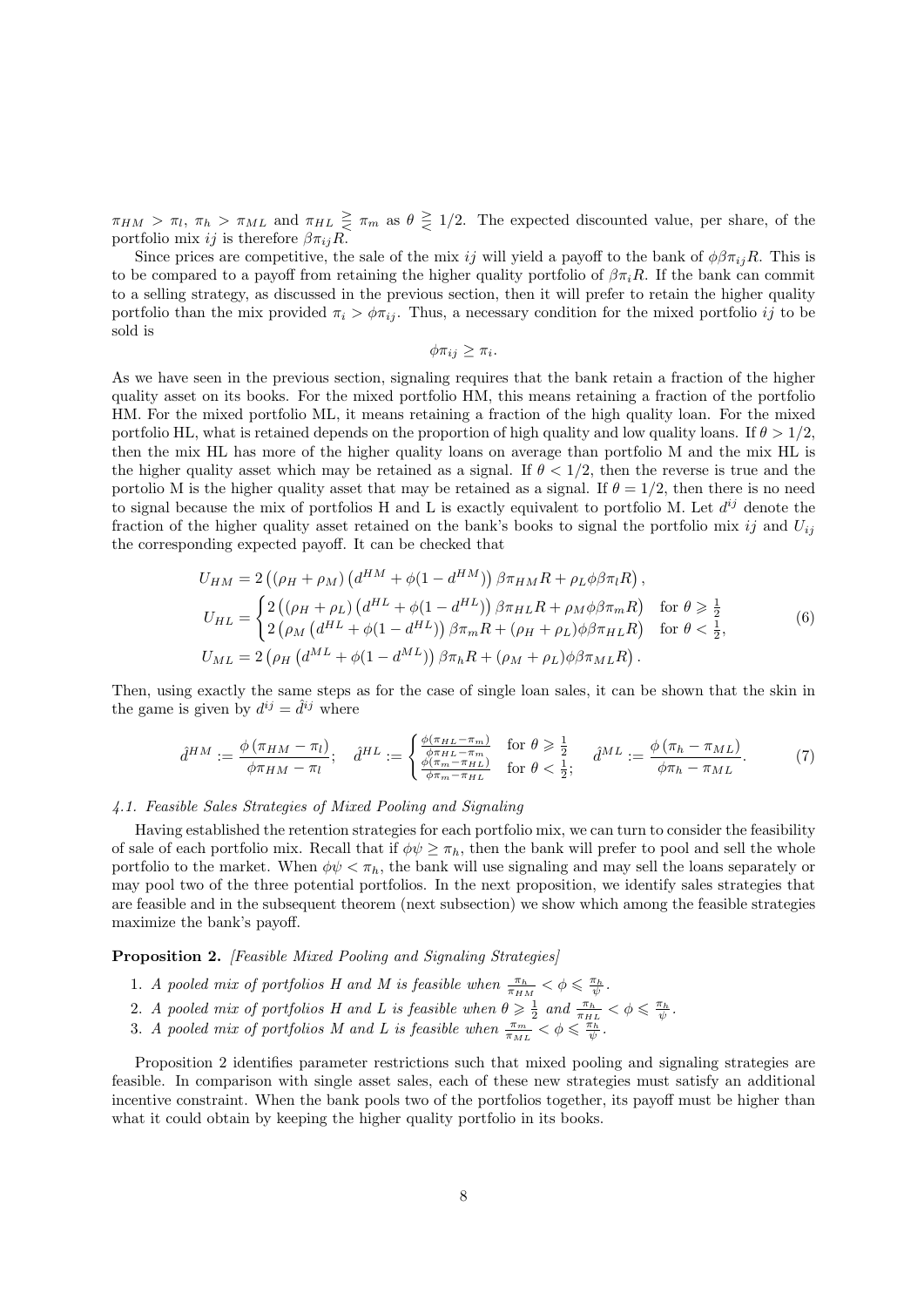$\pi_{HM} > \pi_l$ ,  $\pi_h > \pi_{ML}$  and  $\pi_{HL} \ge \pi_m$  as  $\theta \ge 1/2$ . The expected discounted value, per share, of the portfolio mix ij is therefore  $\beta \pi_{ij} R$ .

Since prices are competitive, the sale of the mix ij will yield a payoff to the bank of  $\phi\beta\pi_{ij}R$ . This is to be compared to a payoff from retaining the higher quality portfolio of  $\beta \pi_i R$ . If the bank can commit to a selling strategy, as discussed in the previous section, then it will prefer to retain the higher quality portfolio than the mix provided  $\pi_i > \phi \pi_{ij}$ . Thus, a necessary condition for the mixed portfolio ij to be sold is

$$
\phi \pi_{ij} \geq \pi_i.
$$

As we have seen in the previous section, signaling requires that the bank retain a fraction of the higher quality asset on its books. For the mixed portfolio HM, this means retaining a fraction of the portfolio HM. For the mixed portfolio ML, it means retaining a fraction of the high quality loan. For the mixed portfolio HL, what is retained depends on the proportion of high quality and low quality loans. If  $\theta > 1/2$ , then the mix HL has more of the higher quality loans on average than portfolio M and the mix HL is the higher quality asset which may be retained as a signal. If  $\theta < 1/2$ , then the reverse is true and the portolio M is the higher quality asset that may be retained as a signal. If  $\theta = 1/2$ , then there is no need to signal because the mix of portfolios H and L is exactly equivalent to portfolio M. Let  $d^{ij}$  denote the fraction of the higher quality asset retained on the bank's books to signal the portfolio mix  $i_j$  and  $U_{ij}$ the corresponding expected payoff. It can be checked that

$$
U_{HM} = 2\left((\rho_H + \rho_M)\left(d^{HM} + \phi(1 - d^{HM})\right)\beta\pi_{HM}R + \rho_L\phi\beta\pi_lR\right),
$$
  
\n
$$
U_{HL} = \begin{cases} 2\left((\rho_H + \rho_L)\left(d^{HL} + \phi(1 - d^{HL})\right)\beta\pi_{HL}R + \rho_M\phi\beta\pi_mR\right) & \text{for } \theta \geq \frac{1}{2} \\ 2\left(\rho_M\left(d^{HL} + \phi(1 - d^{HL})\right)\beta\pi_mR + (\rho_H + \rho_L)\phi\beta\pi_{HL}R\right) & \text{for } \theta < \frac{1}{2}, \end{cases}
$$
(6)  
\n
$$
U_{ML} = 2\left(\rho_H\left(d^{ML} + \phi(1 - d^{ML})\right)\beta\pi_hR + (\rho_M + \rho_L)\phi\beta\pi_{ML}R\right).
$$

Then, using exactly the same steps as for the case of single loan sales, it can be shown that the skin in the game is given by  $d^{ij} = \hat{d}^{ij}$  where

$$
\hat{d}^{HM} := \frac{\phi\left(\pi_{HM} - \pi_{l}\right)}{\phi\pi_{HM} - \pi_{l}}; \quad \hat{d}^{HL} := \begin{cases} \frac{\phi\left(\pi_{HL} - \pi_{m}\right)}{\phi\pi_{HL} - \pi_{m}} & \text{for } \theta \geqslant \frac{1}{2} \\ \frac{\phi\left(\pi_{m} - \pi_{HL}\right)}{\phi\pi_{m} - \pi_{HL}} & \text{for } \theta < \frac{1}{2}; \end{cases} \quad \hat{d}^{ML} := \frac{\phi\left(\pi_{h} - \pi_{ML}\right)}{\phi\pi_{h} - \pi_{ML}}. \tag{7}
$$

#### 4.1. Feasible Sales Strategies of Mixed Pooling and Signaling

Having established the retention strategies for each portfolio mix, we can turn to consider the feasibility of sale of each portfolio mix. Recall that if  $\phi \psi \geq \pi_h$ , then the bank will prefer to pool and sell the whole portfolio to the market. When  $\phi \psi < \pi_h$ , the bank will use signaling and may sell the loans separately or may pool two of the three potential portfolios. In the next proposition, we identify sales strategies that are feasible and in the subsequent theorem (next subsection) we show which among the feasible strategies maximize the bank's payoff.

Proposition 2. [Feasible Mixed Pooling and Signaling Strategies]

- 1. A pooled mix of portfolios H and M is feasible when  $\frac{\pi_h}{\pi_{HM}} < \phi \leq \frac{\pi_h}{\psi}$ .
- 2. A pooled mix of portfolios H and L is feasible when  $\theta \geqslant \frac{1}{2}$  and  $\frac{\pi_h}{\pi_{HL}} < \phi \leqslant \frac{\pi_h}{\psi}$ .
- 3. A pooled mix of portfolios M and L is feasible when  $\frac{\pi_m}{\pi_{ML}} < \phi \leq \frac{\pi_h}{\psi}$ .

Proposition 2 identifies parameter restrictions such that mixed pooling and signaling strategies are feasible. In comparison with single asset sales, each of these new strategies must satisfy an additional incentive constraint. When the bank pools two of the portfolios together, its payoff must be higher than what it could obtain by keeping the higher quality portfolio in its books.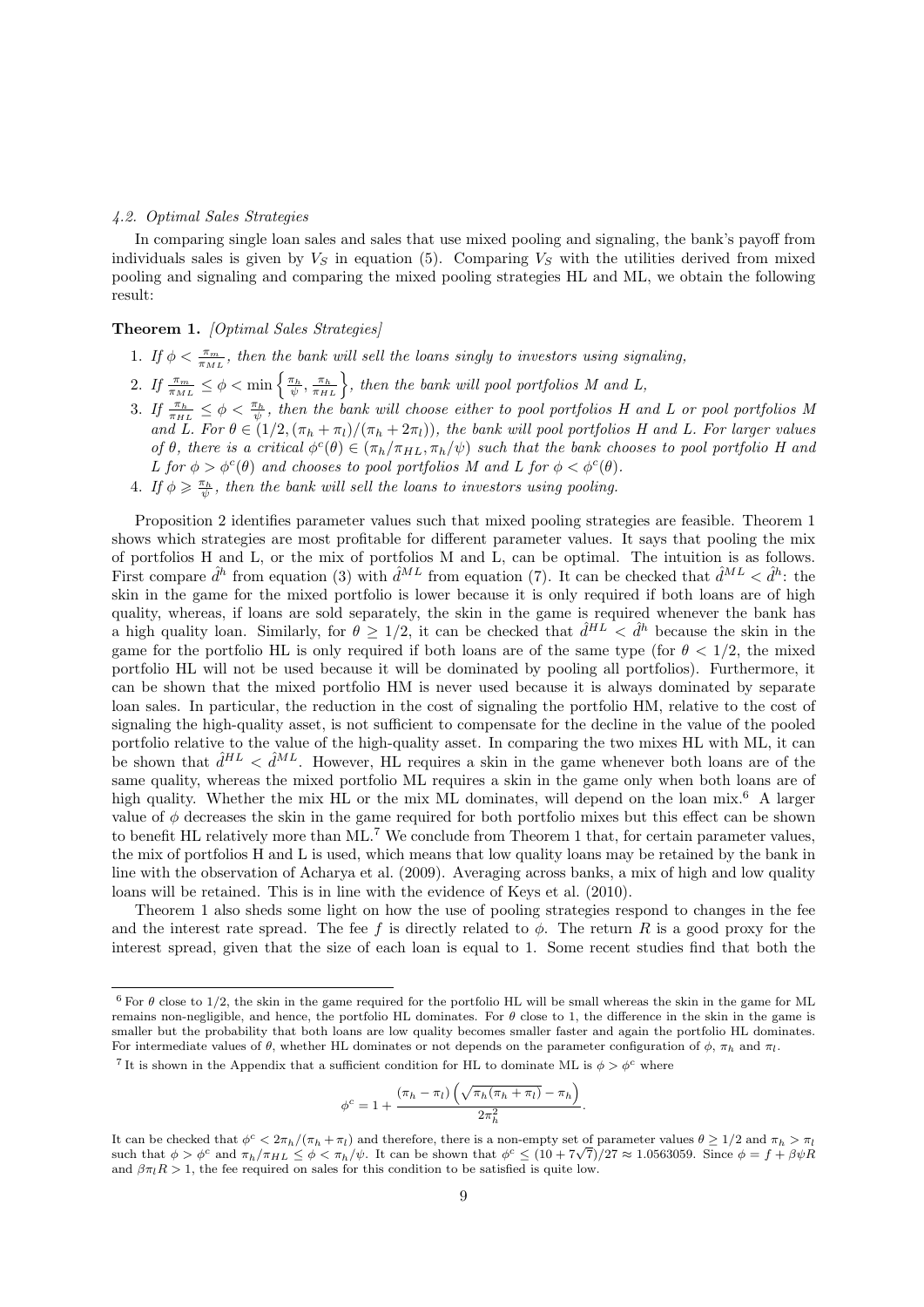## 4.2. Optimal Sales Strategies

In comparing single loan sales and sales that use mixed pooling and signaling, the bank's payoff from individuals sales is given by  $V_S$  in equation (5). Comparing  $V_S$  with the utilities derived from mixed pooling and signaling and comparing the mixed pooling strategies HL and ML, we obtain the following result:

#### Theorem 1. *[Optimal Sales Strategies]*

- 1. If  $\phi < \frac{\pi_m}{\pi_M}$ , then the bank will sell the loans singly to investors using signaling,  $\pi_{ML}$
- 2. If  $\frac{\pi_m}{\pi_{ML}} \leq \phi < \min\left\{\frac{\pi_h}{\psi}, \frac{\pi_h}{\pi_{HL}}\right\}$ , then the bank will pool portfolios M and L,
- 3. If  $\frac{\pi_h}{\pi_{HL}} \le \phi < \frac{\pi_h}{\psi}$ , then the bank will choose either to pool portfolios H and L or pool portfolios M and L. For  $\theta \in (1/2, (\pi_h + \pi_l)/(\pi_h + 2\pi_l))$ , the bank will pool portfolios H and L. For larger values of  $\theta$ , there is a critical  $\phi^c(\theta) \in (\pi_h/\pi_{HL}, \pi_h/\psi)$  such that the bank chooses to pool portfolio H and L for  $\phi > \phi^c(\theta)$  and chooses to pool portfolios M and L for  $\phi < \phi^c(\theta)$ .
- 4. If  $\phi \geq \frac{\pi_h}{\psi}$ , then the bank will sell the loans to investors using pooling.

Proposition 2 identifies parameter values such that mixed pooling strategies are feasible. Theorem 1 shows which strategies are most profitable for different parameter values. It says that pooling the mix of portfolios H and L, or the mix of portfolios M and L, can be optimal. The intuition is as follows. First compare  $\hat{d}^h$  from equation (3) with  $\hat{d}^{ML}$  from equation (7). It can be checked that  $\hat{d}^{ML} < \hat{d}^h$ : the skin in the game for the mixed portfolio is lower because it is only required if both loans are of high quality, whereas, if loans are sold separately, the skin in the game is required whenever the bank has a high quality loan. Similarly, for  $\theta \ge 1/2$ , it can be checked that  $\hat{d}^{HL} < \hat{d}^{h}$  because the skin in the game for the portfolio HL is only required if both loans are of the same type (for  $\theta < 1/2$ , the mixed portfolio HL will not be used because it will be dominated by pooling all portfolios). Furthermore, it can be shown that the mixed portfolio HM is never used because it is always dominated by separate loan sales. In particular, the reduction in the cost of signaling the portfolio HM, relative to the cost of signaling the high-quality asset, is not sufficient to compensate for the decline in the value of the pooled portfolio relative to the value of the high-quality asset. In comparing the two mixes HL with ML, it can be shown that  $\hat{d}^{HL} < \hat{d}^{ML}$ . However, HL requires a skin in the game whenever both loans are of the same quality, whereas the mixed portfolio ML requires a skin in the game only when both loans are of high quality. Whether the mix HL or the mix ML dominates, will depend on the loan mix.<sup>6</sup> A larger value of  $\phi$  decreases the skin in the game required for both portfolio mixes but this effect can be shown to benefit HL relatively more than ML.<sup>7</sup> We conclude from Theorem 1 that, for certain parameter values, the mix of portfolios H and L is used, which means that low quality loans may be retained by the bank in line with the observation of Acharya et al. (2009). Averaging across banks, a mix of high and low quality loans will be retained. This is in line with the evidence of Keys et al. (2010).

Theorem 1 also sheds some light on how the use of pooling strategies respond to changes in the fee and the interest rate spread. The fee f is directly related to  $\phi$ . The return R is a good proxy for the interest spread, given that the size of each loan is equal to 1. Some recent studies find that both the

$$
\phi^c = 1 + \frac{(\pi_h - \pi_l) \left( \sqrt{\pi_h (\pi_h + \pi_l)} - \pi_h \right)}{2\pi_h^2}.
$$

<sup>&</sup>lt;sup>6</sup> For  $\theta$  close to 1/2, the skin in the game required for the portfolio HL will be small whereas the skin in the game for ML remains non-negligible, and hence, the portfolio HL dominates. For θ close to 1, the difference in the skin in the game is smaller but the probability that both loans are low quality becomes smaller faster and again the portfolio HL dominates. For intermediate values of  $\theta$ , whether HL dominates or not depends on the parameter configuration of  $\phi$ ,  $\pi_h$  and  $\pi_l$ .

<sup>&</sup>lt;sup>7</sup>It is shown in the Appendix that a sufficient condition for HL to dominate ML is  $\phi > \phi^c$  where

It can be checked that  $\phi^c < 2\pi_h/(\pi_h + \pi_l)$  and therefore, there is a non-empty set of parameter values  $\theta \ge 1/2$  and  $\pi_h > \pi_l$ It can be checked that  $φ < 2π<sub>h</sub>/(π<sub>h</sub> + π<sub>l</sub>)$  and therefore, there is a non-empty set of parameter values  $θ \ge 1/2$  and  $π<sub>h</sub> > π<sub>l</sub>$ <br>such that  $φ > φ<sup>c</sup>$  and  $π<sub>h</sub>/π<sub>H</sub> L ≤ φ < π<sub>h</sub>/ψ$ . It can be s and  $\beta \pi_l R > 1$ , the fee required on sales for this condition to be satisfied is quite low.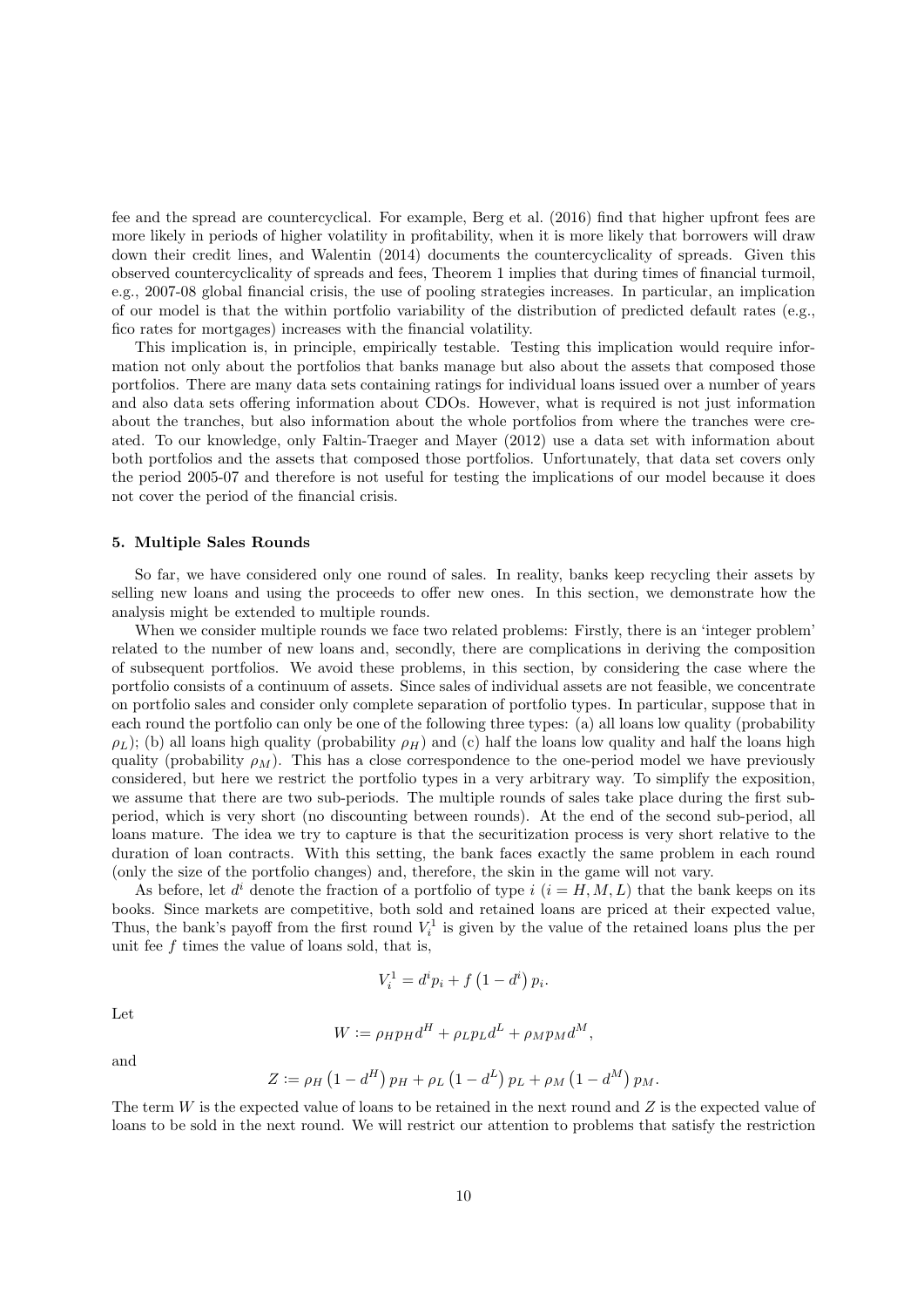fee and the spread are countercyclical. For example, Berg et al. (2016) find that higher upfront fees are more likely in periods of higher volatility in profitability, when it is more likely that borrowers will draw down their credit lines, and Walentin (2014) documents the countercyclicality of spreads. Given this observed countercyclicality of spreads and fees, Theorem 1 implies that during times of financial turmoil, e.g., 2007-08 global financial crisis, the use of pooling strategies increases. In particular, an implication of our model is that the within portfolio variability of the distribution of predicted default rates (e.g., fico rates for mortgages) increases with the financial volatility.

This implication is, in principle, empirically testable. Testing this implication would require information not only about the portfolios that banks manage but also about the assets that composed those portfolios. There are many data sets containing ratings for individual loans issued over a number of years and also data sets offering information about CDOs. However, what is required is not just information about the tranches, but also information about the whole portfolios from where the tranches were created. To our knowledge, only Faltin-Traeger and Mayer (2012) use a data set with information about both portfolios and the assets that composed those portfolios. Unfortunately, that data set covers only the period 2005-07 and therefore is not useful for testing the implications of our model because it does not cover the period of the financial crisis.

#### 5. Multiple Sales Rounds

So far, we have considered only one round of sales. In reality, banks keep recycling their assets by selling new loans and using the proceeds to offer new ones. In this section, we demonstrate how the analysis might be extended to multiple rounds.

When we consider multiple rounds we face two related problems: Firstly, there is an 'integer problem' related to the number of new loans and, secondly, there are complications in deriving the composition of subsequent portfolios. We avoid these problems, in this section, by considering the case where the portfolio consists of a continuum of assets. Since sales of individual assets are not feasible, we concentrate on portfolio sales and consider only complete separation of portfolio types. In particular, suppose that in each round the portfolio can only be one of the following three types: (a) all loans low quality (probability  $\rho_L$ ); (b) all loans high quality (probability  $\rho_H$ ) and (c) half the loans low quality and half the loans high quality (probability  $\rho_M$ ). This has a close correspondence to the one-period model we have previously considered, but here we restrict the portfolio types in a very arbitrary way. To simplify the exposition, we assume that there are two sub-periods. The multiple rounds of sales take place during the first subperiod, which is very short (no discounting between rounds). At the end of the second sub-period, all loans mature. The idea we try to capture is that the securitization process is very short relative to the duration of loan contracts. With this setting, the bank faces exactly the same problem in each round (only the size of the portfolio changes) and, therefore, the skin in the game will not vary.

As before, let  $d^i$  denote the fraction of a portfolio of type  $i$   $(i = H, M, L)$  that the bank keeps on its books. Since markets are competitive, both sold and retained loans are priced at their expected value, Thus, the bank's payoff from the first round  $V_i^1$  is given by the value of the retained loans plus the per unit fee  $f$  times the value of loans sold, that is,

$$
V_i^1 = d^i p_i + f (1 - d^i) p_i.
$$

Let

$$
W := \rho_H p_H d^H + \rho_L p_L d^L + \rho_M p_M d^M,
$$

and

$$
Z := \rho_H \left( 1 - d^H \right) p_H + \rho_L \left( 1 - d^L \right) p_L + \rho_M \left( 1 - d^M \right) p_M.
$$

The term  $W$  is the expected value of loans to be retained in the next round and  $Z$  is the expected value of loans to be sold in the next round. We will restrict our attention to problems that satisfy the restriction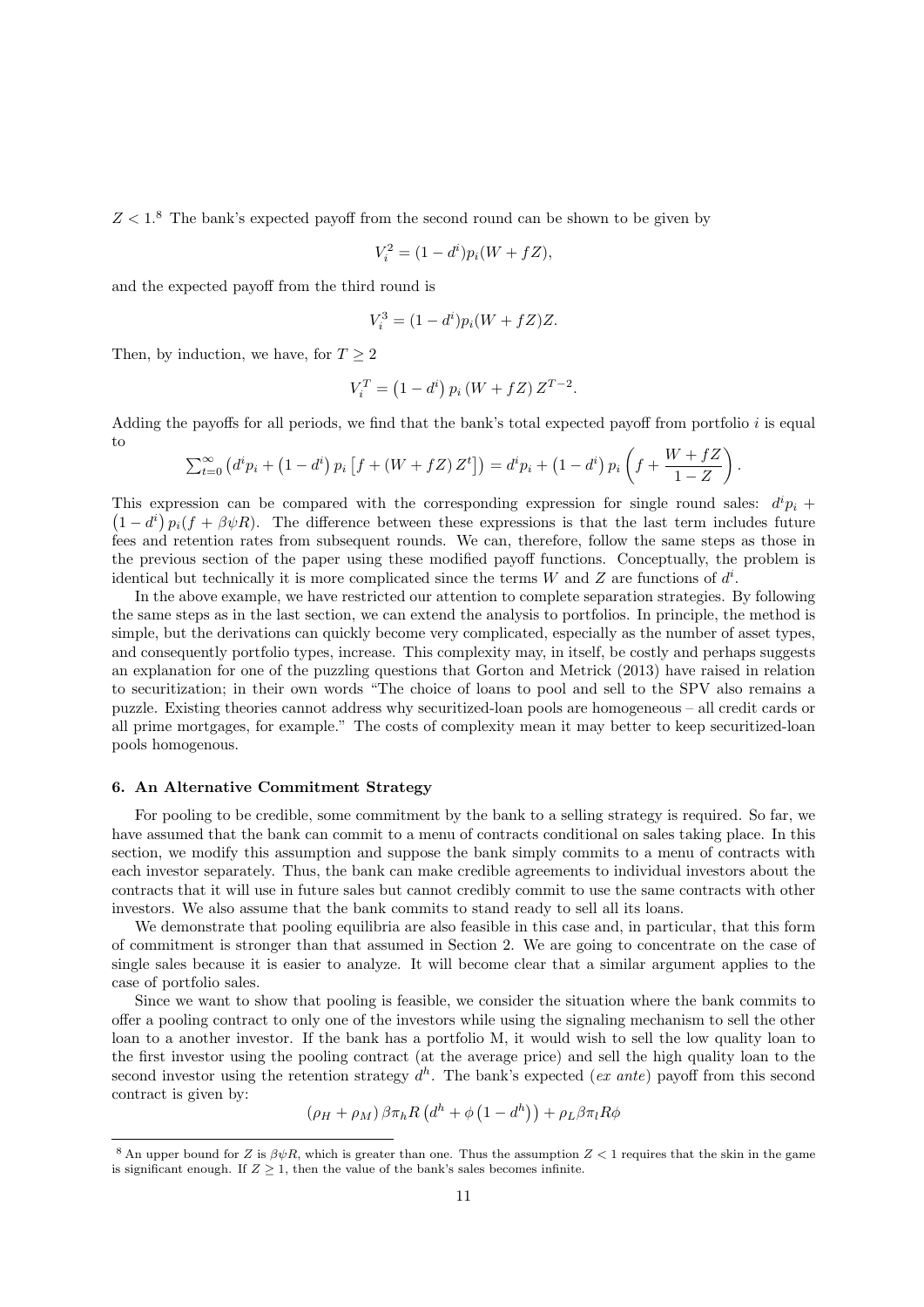$Z < 1$ <sup>8</sup>. The bank's expected payoff from the second round can be shown to be given by

$$
V_i^2 = (1 - d^i)p_i(W + fZ),
$$

and the expected payoff from the third round is

$$
V_i^3 = (1 - d^i)p_i(W + fZ)Z.
$$

Then, by induction, we have, for  $T \geq 2$ 

$$
V_i^T = (1 - d^i) p_i (W + fZ) Z^{T-2}.
$$

Adding the payoffs for all periods, we find that the bank's total expected payoff from portfolio  $i$  is equal to

$$
\sum_{t=0}^{\infty} (d^i p_i + (1-d^i) p_i [f + (W + fZ) Z^t]) = d^i p_i + (1-d^i) p_i \left( f + \frac{W + fZ}{1 - Z} \right).
$$

This expression can be compared with the corresponding expression for single round sales:  $d^i p_i$  +  $(1-d^i)p_i(f+\beta\psi R)$ . The difference between these expressions is that the last term includes future fees and retention rates from subsequent rounds. We can, therefore, follow the same steps as those in the previous section of the paper using these modified payoff functions. Conceptually, the problem is identical but technically it is more complicated since the terms W and Z are functions of  $d^i$ .

In the above example, we have restricted our attention to complete separation strategies. By following the same steps as in the last section, we can extend the analysis to portfolios. In principle, the method is simple, but the derivations can quickly become very complicated, especially as the number of asset types, and consequently portfolio types, increase. This complexity may, in itself, be costly and perhaps suggests an explanation for one of the puzzling questions that Gorton and Metrick (2013) have raised in relation to securitization; in their own words "The choice of loans to pool and sell to the SPV also remains a puzzle. Existing theories cannot address why securitized-loan pools are homogeneous – all credit cards or all prime mortgages, for example." The costs of complexity mean it may better to keep securitized-loan pools homogenous.

#### 6. An Alternative Commitment Strategy

For pooling to be credible, some commitment by the bank to a selling strategy is required. So far, we have assumed that the bank can commit to a menu of contracts conditional on sales taking place. In this section, we modify this assumption and suppose the bank simply commits to a menu of contracts with each investor separately. Thus, the bank can make credible agreements to individual investors about the contracts that it will use in future sales but cannot credibly commit to use the same contracts with other investors. We also assume that the bank commits to stand ready to sell all its loans.

We demonstrate that pooling equilibria are also feasible in this case and, in particular, that this form of commitment is stronger than that assumed in Section 2. We are going to concentrate on the case of single sales because it is easier to analyze. It will become clear that a similar argument applies to the case of portfolio sales.

Since we want to show that pooling is feasible, we consider the situation where the bank commits to offer a pooling contract to only one of the investors while using the signaling mechanism to sell the other loan to a another investor. If the bank has a portfolio M, it would wish to sell the low quality loan to the first investor using the pooling contract (at the average price) and sell the high quality loan to the second investor using the retention strategy  $d^h$ . The bank's expected (ex ante) payoff from this second contract is given by:

$$
(\rho_H + \rho_M) \,\beta \pi_h R \left( d^h + \phi \left( 1 - d^h \right) \right) + \rho_L \beta \pi_l R \phi
$$

<sup>&</sup>lt;sup>8</sup> An upper bound for Z is  $\beta \psi R$ , which is greater than one. Thus the assumption  $Z < 1$  requires that the skin in the game is significant enough. If  $Z \geq 1$ , then the value of the bank's sales becomes infinite.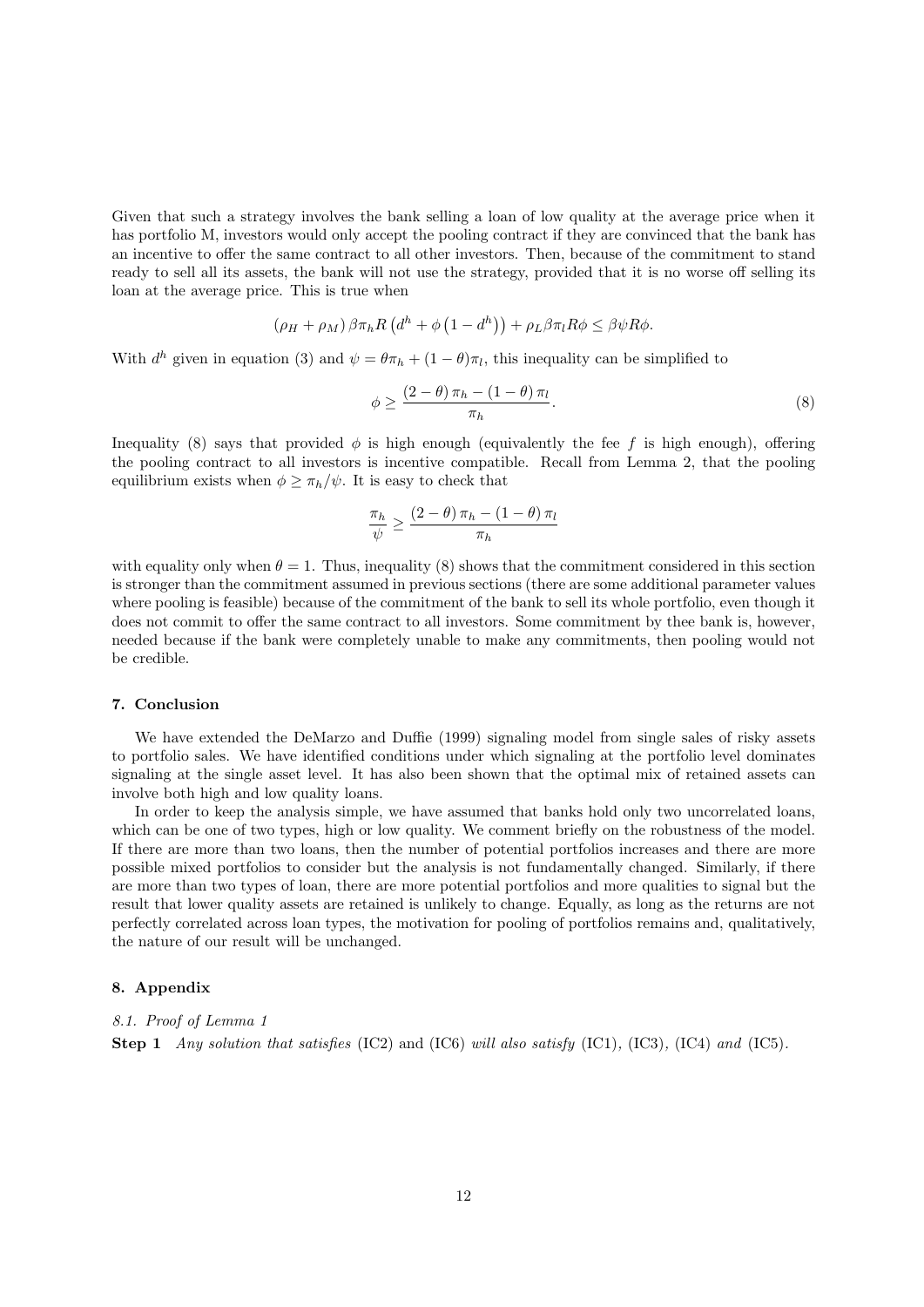Given that such a strategy involves the bank selling a loan of low quality at the average price when it has portfolio M, investors would only accept the pooling contract if they are convinced that the bank has an incentive to offer the same contract to all other investors. Then, because of the commitment to stand ready to sell all its assets, the bank will not use the strategy, provided that it is no worse off selling its loan at the average price. This is true when

$$
(\rho_H + \rho_M) \beta \pi_h R \left( d^h + \phi \left( 1 - d^h \right) \right) + \rho_L \beta \pi_l R \phi \leq \beta \psi R \phi.
$$

With  $d^h$  given in equation (3) and  $\psi = \theta \pi_h + (1 - \theta) \pi_l$ , this inequality can be simplified to

$$
\phi \geq \frac{(2-\theta)\,\pi_h - (1-\theta)\,\pi_l}{\pi_h}.\tag{8}
$$

Inequality (8) says that provided  $\phi$  is high enough (equivalently the fee f is high enough), offering the pooling contract to all investors is incentive compatible. Recall from Lemma 2, that the pooling equilibrium exists when  $\phi \geq \pi_h/\psi$ . It is easy to check that

$$
\frac{\pi_h}{\psi} \ge \frac{(2-\theta)\,\pi_h - (1-\theta)\,\pi_l}{\pi_h}
$$

with equality only when  $\theta = 1$ . Thus, inequality (8) shows that the commitment considered in this section is stronger than the commitment assumed in previous sections (there are some additional parameter values where pooling is feasible) because of the commitment of the bank to sell its whole portfolio, even though it does not commit to offer the same contract to all investors. Some commitment by thee bank is, however, needed because if the bank were completely unable to make any commitments, then pooling would not be credible.

#### 7. Conclusion

We have extended the DeMarzo and Duffie (1999) signaling model from single sales of risky assets to portfolio sales. We have identified conditions under which signaling at the portfolio level dominates signaling at the single asset level. It has also been shown that the optimal mix of retained assets can involve both high and low quality loans.

In order to keep the analysis simple, we have assumed that banks hold only two uncorrelated loans, which can be one of two types, high or low quality. We comment briefly on the robustness of the model. If there are more than two loans, then the number of potential portfolios increases and there are more possible mixed portfolios to consider but the analysis is not fundamentally changed. Similarly, if there are more than two types of loan, there are more potential portfolios and more qualities to signal but the result that lower quality assets are retained is unlikely to change. Equally, as long as the returns are not perfectly correlated across loan types, the motivation for pooling of portfolios remains and, qualitatively, the nature of our result will be unchanged.

## 8. Appendix

# 8.1. Proof of Lemma 1

Step 1 Any solution that satisfies (IC2) and (IC6) will also satisfy (IC1), (IC3), (IC4) and (IC5).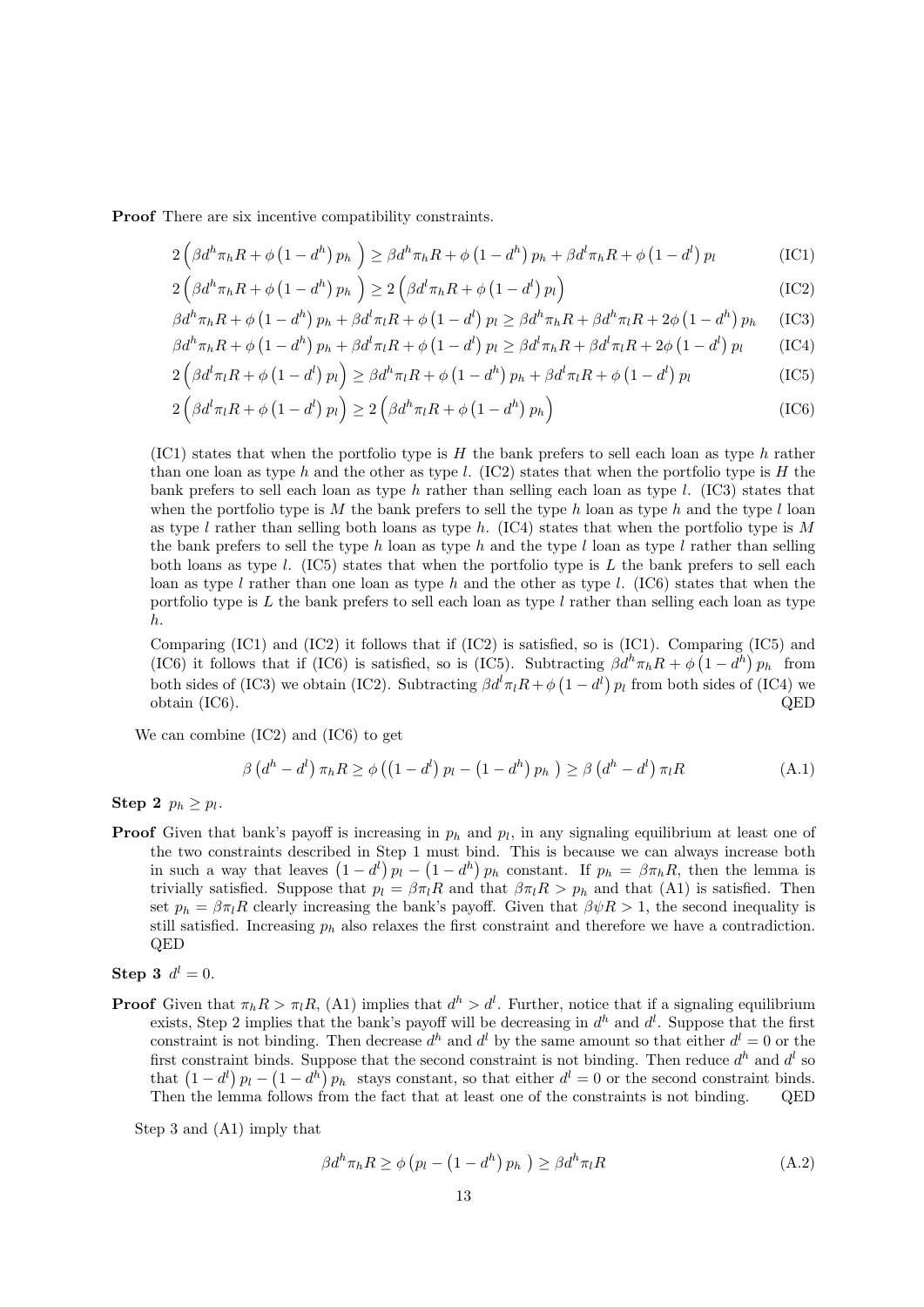Proof There are six incentive compatibility constraints.

$$
2\left(\beta d^h\pi_h R + \phi\left(1 - d^h\right)p_h\right) \geq \beta d^h\pi_h R + \phi\left(1 - d^h\right)p_h + \beta d^l\pi_h R + \phi\left(1 - d^l\right)p_l \tag{IC1}
$$

$$
2\left(\beta d^h\pi_h R + \phi\left(1 - d^h\right)p_h\right) \ge 2\left(\beta d^l\pi_h R + \phi\left(1 - d^l\right)p_l\right) \tag{IC2}
$$

$$
\beta d^h \pi_h R + \phi \left( 1 - d^h \right) p_h + \beta d^l \pi_l R + \phi \left( 1 - d^l \right) p_l \geq \beta d^h \pi_h R + \beta d^h \pi_l R + 2\phi \left( 1 - d^h \right) p_h \tag{IC3}
$$

$$
\beta d^{h} \pi_{h} R + \phi \left( 1 - d^{h} \right) p_{h} + \beta d^{l} \pi_{l} R + \phi \left( 1 - d^{l} \right) p_{l} \geq \beta d^{l} \pi_{h} R + \beta d^{l} \pi_{l} R + 2\phi \left( 1 - d^{l} \right) p_{l} \tag{IC4}
$$

$$
2\left(\beta d^l\pi_l R + \phi\left(1 - d^l\right)p_l\right) \geq \beta d^h\pi_l R + \phi\left(1 - d^h\right)p_h + \beta d^l\pi_l R + \phi\left(1 - d^l\right)p_l \tag{IC5}
$$

$$
2\left(\beta d^l\pi_l R + \phi\left(1 - d^l\right)p_l\right) \ge 2\left(\beta d^h\pi_l R + \phi\left(1 - d^h\right)p_h\right) \tag{IC6}
$$

 $(IC1)$  states that when the portfolio type is H the bank prefers to sell each loan as type h rather than one loan as type h and the other as type l. (IC2) states that when the portfolio type is H the bank prefers to sell each loan as type h rather than selling each loan as type l. (IC3) states that when the portfolio type is M the bank prefers to sell the type h loan as type h and the type l loan as type l rather than selling both loans as type h. (IC4) states that when the portfolio type is  $M$ the bank prefers to sell the type h loan as type h and the type l loan as type l rather than selling both loans as type l. (IC5) states that when the portfolio type is L the bank prefers to sell each loan as type l rather than one loan as type h and the other as type l. (IC6) states that when the portfolio type is  $L$  the bank prefers to sell each loan as type  $l$  rather than selling each loan as type h.

Comparing (IC1) and (IC2) it follows that if (IC2) is satisfied, so is (IC1). Comparing (IC5) and (IC6) it follows that if (IC6) is satisfied, so is (IC5). Subtracting  $\beta d^h \pi_h R + \phi (1 - d^h) p_h$  from both sides of (IC3) we obtain (IC2). Subtracting  $\beta d^l \pi_l R + \phi \left(1 - d^l\right) p_l$  from both sides of (IC4) we obtain (IC6). QED

We can combine (IC2) and (IC6) to get

$$
\beta\left(d^{h}-d^{l}\right)\pi_{h}R\geq\phi\left(\left(1-d^{l}\right)p_{l}-\left(1-d^{h}\right)p_{h}\right)\geq\beta\left(d^{h}-d^{l}\right)\pi_{l}R
$$
\n(A.1)

Step 2  $p_h \geq p_l$ .

**Proof** Given that bank's payoff is increasing in  $p_h$  and  $p_l$ , in any signaling equilibrium at least one of the two constraints described in Step 1 must bind. This is because we can always increase both in such a way that leaves  $(1-d^l)p_l-(1-d^h)p_h$  constant. If  $p_h = \beta \pi_h R$ , then the lemma is trivially satisfied. Suppose that  $p_l = \beta \pi_l R$  and that  $\beta \pi_l R > p_h$  and that  $(A1)$  is satisfied. Then set  $p_h = \beta \pi_l R$  clearly increasing the bank's payoff. Given that  $\beta \psi R > 1$ , the second inequality is still satisfied. Increasing  $p_h$  also relaxes the first constraint and therefore we have a contradiction. QED

Step 3 
$$
d^l = 0
$$
.

**Proof** Given that  $\pi_h R > \pi_l R$ , (A1) implies that  $d^h > d^l$ . Further, notice that if a signaling equilibrium exists, Step 2 implies that the bank's payoff will be decreasing in  $d^h$  and  $d^l$ . Suppose that the first constraint is not binding. Then decrease  $d^h$  and  $d^l$  by the same amount so that either  $d^l = 0$  or the first constraint binds. Suppose that the second constraint is not binding. Then reduce  $d^h$  and  $d^l$  so that  $(1-d^{l}) p_{l} - (1-d^{h}) p_{h}$  stays constant, so that either  $d^{l} = 0$  or the second constraint binds. Then the lemma follows from the fact that at least one of the constraints is not binding. QED

Step 3 and (A1) imply that

$$
\beta d^h \pi_h R \ge \phi \left( p_l - \left( 1 - d^h \right) p_h \right) \ge \beta d^h \pi_l R \tag{A.2}
$$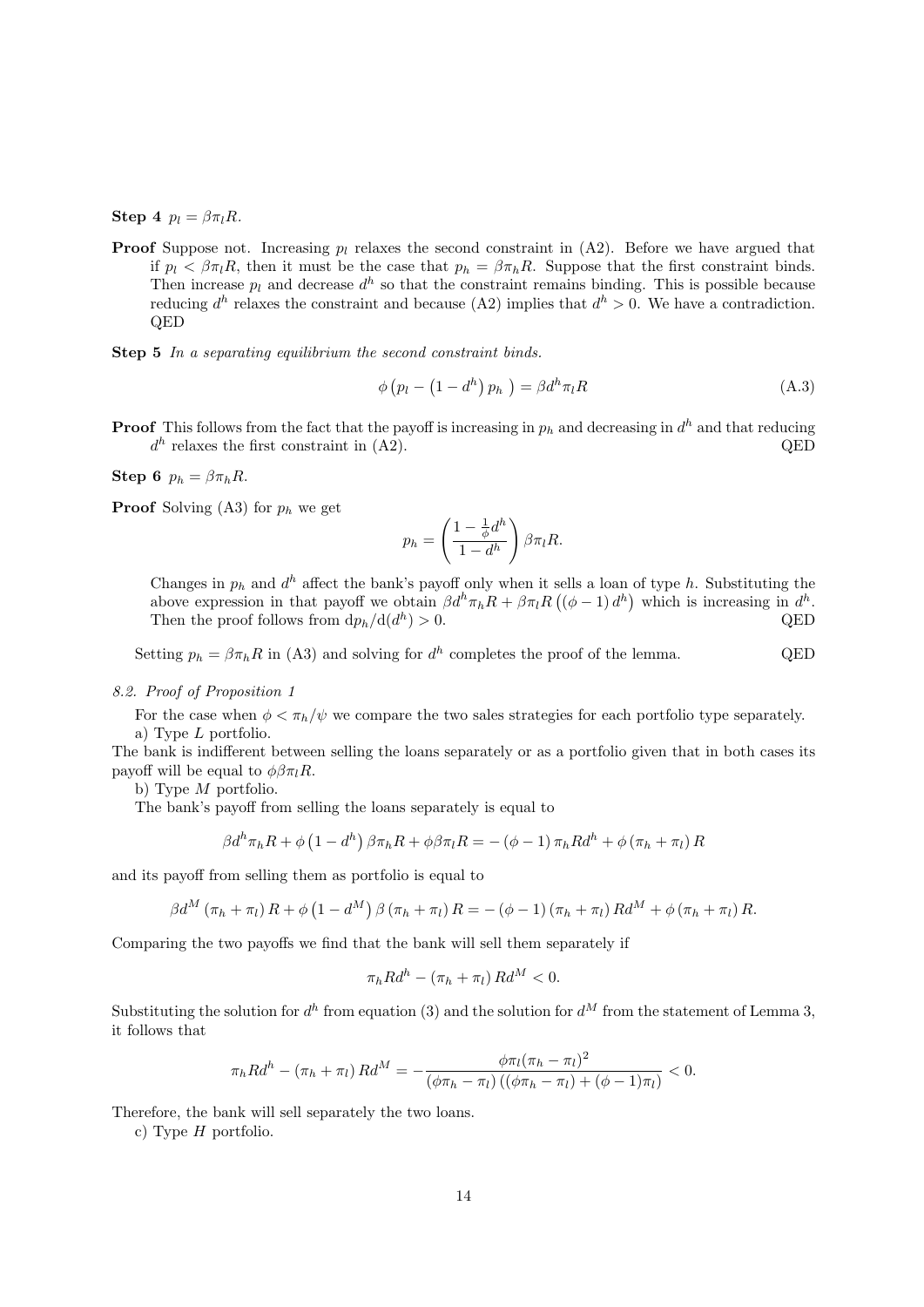Step 4  $p_l = \beta \pi_l R$ .

- **Proof** Suppose not. Increasing  $p_l$  relaxes the second constraint in (A2). Before we have argued that if  $p_l < \beta \pi_l R$ , then it must be the case that  $p_h = \beta \pi_h R$ . Suppose that the first constraint binds. Then increase  $p_l$  and decrease  $d^h$  so that the constraint remains binding. This is possible because reducing  $d^h$  relaxes the constraint and because (A2) implies that  $d^h > 0$ . We have a contradiction. QED
- Step 5 In a separating equilibrium the second constraint binds.

$$
\phi \left( p_l - \left( 1 - d^h \right) p_h \right) = \beta d^h \pi_l R \tag{A.3}
$$

**Proof** This follows from the fact that the payoff is increasing in  $p_h$  and decreasing in  $d^h$  and that reducing  $d^h$  relaxes the first constraint in (A2). QED

Step 6  $p_h = \beta \pi_h R$ .

**Proof** Solving (A3) for  $p_h$  we get

$$
p_h = \left(\frac{1 - \frac{1}{\phi}d^h}{1 - d^h}\right)\beta\pi_l R.
$$

Changes in  $p_h$  and  $d^h$  affect the bank's payoff only when it sells a loan of type h. Substituting the above expression in that payoff we obtain  $\beta d^h \pi_h R + \beta \pi_l R (\phi - 1) d^h$  which is increasing in  $d^h$ . Then the proof follows from  $dp_h/d(d^h)$  $) > 0.$  QED

Setting  $p_h = \beta \pi_h R$  in (A3) and solving for  $d^h$  completes the proof of the lemma. QED

#### 8.2. Proof of Proposition 1

For the case when  $\phi < \pi_h/\psi$  we compare the two sales strategies for each portfolio type separately. a) Type L portfolio.

The bank is indifferent between selling the loans separately or as a portfolio given that in both cases its payoff will be equal to  $\phi \beta \pi_l R$ .

b) Type M portfolio.

The bank's payoff from selling the loans separately is equal to

$$
\beta d^{h} \pi_{h} R + \phi \left( 1 - d^{h} \right) \beta \pi_{h} R + \phi \beta \pi_{l} R = - (\phi - 1) \pi_{h} R d^{h} + \phi \left( \pi_{h} + \pi_{l} \right) R
$$

and its payoff from selling them as portfolio is equal to

$$
\beta d^{M}(\pi_h + \pi_l) R + \phi \left(1 - d^{M}\right) \beta \left(\pi_h + \pi_l\right) R = -(\phi - 1) \left(\pi_h + \pi_l\right) R d^{M} + \phi \left(\pi_h + \pi_l\right) R.
$$

Comparing the two payoffs we find that the bank will sell them separately if

$$
\pi_h R d^h - (\pi_h + \pi_l) R d^M < 0.
$$

Substituting the solution for  $d^h$  from equation (3) and the solution for  $d^M$  from the statement of Lemma 3, it follows that

$$
\pi_h R d^h - (\pi_h + \pi_l) R d^M = - \frac{\phi \pi_l (\pi_h - \pi_l)^2}{(\phi \pi_h - \pi_l) \left( (\phi \pi_h - \pi_l) + (\phi - 1) \pi_l \right)} < 0.
$$

Therefore, the bank will sell separately the two loans.

c) Type H portfolio.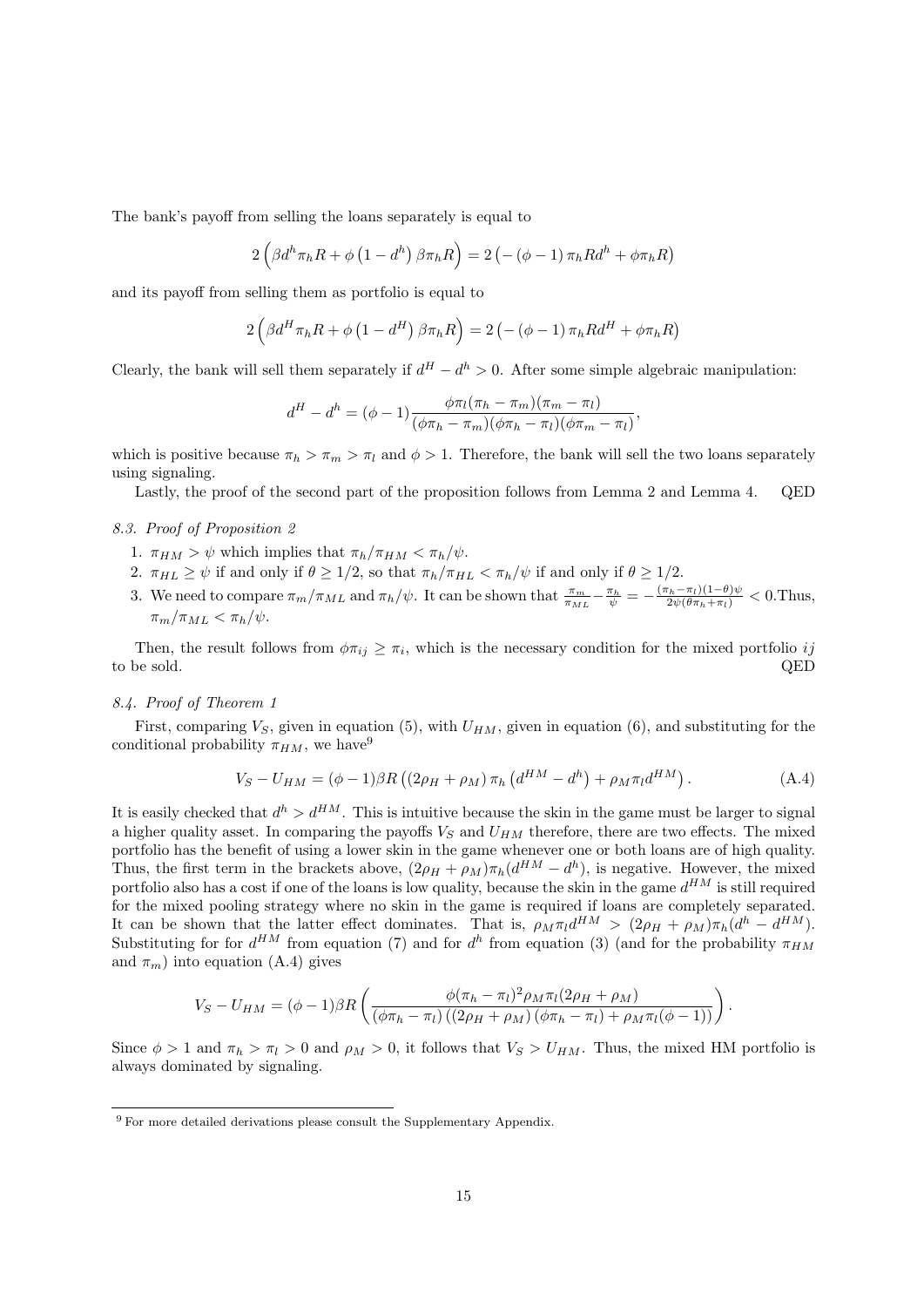The bank's payoff from selling the loans separately is equal to

$$
2\left(\beta d^h\pi_h R + \phi \left(1 - d^h\right)\beta \pi_h R\right) = 2\left(-\left(\phi - 1\right)\pi_h R d^h + \phi \pi_h R\right)
$$

and its payoff from selling them as portfolio is equal to

$$
2\left(\beta d^H\pi_h R + \phi \left(1 - d^H\right)\beta \pi_h R\right) = 2\left(-\left(\phi - 1\right)\pi_h R d^H + \phi \pi_h R\right)
$$

Clearly, the bank will sell them separately if  $d^H - d^h > 0$ . After some simple algebraic manipulation:

$$
d^{H} - d^{h} = (\phi - 1) \frac{\phi \pi_{l}(\pi_{h} - \pi_{m})(\pi_{m} - \pi_{l})}{(\phi \pi_{h} - \pi_{m})(\phi \pi_{h} - \pi_{l})(\phi \pi_{m} - \pi_{l})},
$$

which is positive because  $\pi_h > \pi_m > \pi_l$  and  $\phi > 1$ . Therefore, the bank will sell the two loans separately using signaling.

Lastly, the proof of the second part of the proposition follows from Lemma 2 and Lemma 4. QED

#### 8.3. Proof of Proposition 2

- 1.  $\pi_{HM} > \psi$  which implies that  $\pi_h/\pi_{HM} < \pi_h/\psi$ .
- 2.  $\pi_{HL} \geq \psi$  if and only if  $\theta \geq 1/2$ , so that  $\pi_h/\pi_{HL} < \pi_h/\psi$  if and only if  $\theta \geq 1/2$ .
- 3. We need to compare  $\pi_m/\pi_{ML}$  and  $\pi_h/\psi$ . It can be shown that  $\frac{\pi_m}{\pi_{ML}} \frac{\pi_h}{\psi} = -\frac{(\pi_h \pi_l)(1-\theta)\psi}{2\psi(\theta\pi_h + \pi_l)} < 0$ . Thus,  $\pi_m/\pi_{ML} < \pi_h/\psi$ .

Then, the result follows from  $\phi \pi_{ij} \geq \pi_i$ , which is the necessary condition for the mixed portfolio ij to be sold. QED

## 8.4. Proof of Theorem 1

First, comparing  $V_S$ , given in equation (5), with  $U_{HM}$ , given in equation (6), and substituting for the conditional probability  $\pi_{HM}$ , we have<sup>9</sup>

$$
V_S - U_{HM} = (\phi - 1)\beta R \left( (2\rho_H + \rho_M) \pi_h \left( d^{HM} - d^h \right) + \rho_M \pi_l d^{HM} \right). \tag{A.4}
$$

It is easily checked that  $d^h > d^{HM}$ . This is intuitive because the skin in the game must be larger to signal a higher quality asset. In comparing the payoffs  $V_S$  and  $U_{HM}$  therefore, there are two effects. The mixed portfolio has the benefit of using a lower skin in the game whenever one or both loans are of high quality. Thus, the first term in the brackets above,  $(2\rho_H + \rho_M)\pi_h(d^{HM} - d^h)$ , is negative. However, the mixed portfolio also has a cost if one of the loans is low quality, because the skin in the game  $d^{HM}$  is still required for the mixed pooling strategy where no skin in the game is required if loans are completely separated. It can be shown that the latter effect dominates. That is,  $\rho_M \pi_l d^{HM} > (2\rho_H + \rho_M) \pi_h (d^h - d^{HM})$ . Substituting for for  $d^{HM}$  from equation (7) and for  $d^h$  from equation (3) (and for the probability  $\pi_{HM}$ and  $\pi_m$ ) into equation (A.4) gives

$$
V_S - U_{HM} = (\phi - 1)\beta R \left( \frac{\phi(\pi_h - \pi_l)^2 \rho_M \pi_l (2\rho_H + \rho_M)}{(\phi \pi_h - \pi_l) \left( (2\rho_H + \rho_M) \left( \phi \pi_h - \pi_l \right) + \rho_M \pi_l (\phi - 1) \right)} \right).
$$

Since  $\phi > 1$  and  $\pi_h > \pi_l > 0$  and  $\rho_M > 0$ , it follows that  $V_S > U_{HM}$ . Thus, the mixed HM portfolio is always dominated by signaling.

<sup>&</sup>lt;sup>9</sup> For more detailed derivations please consult the Supplementary Appendix.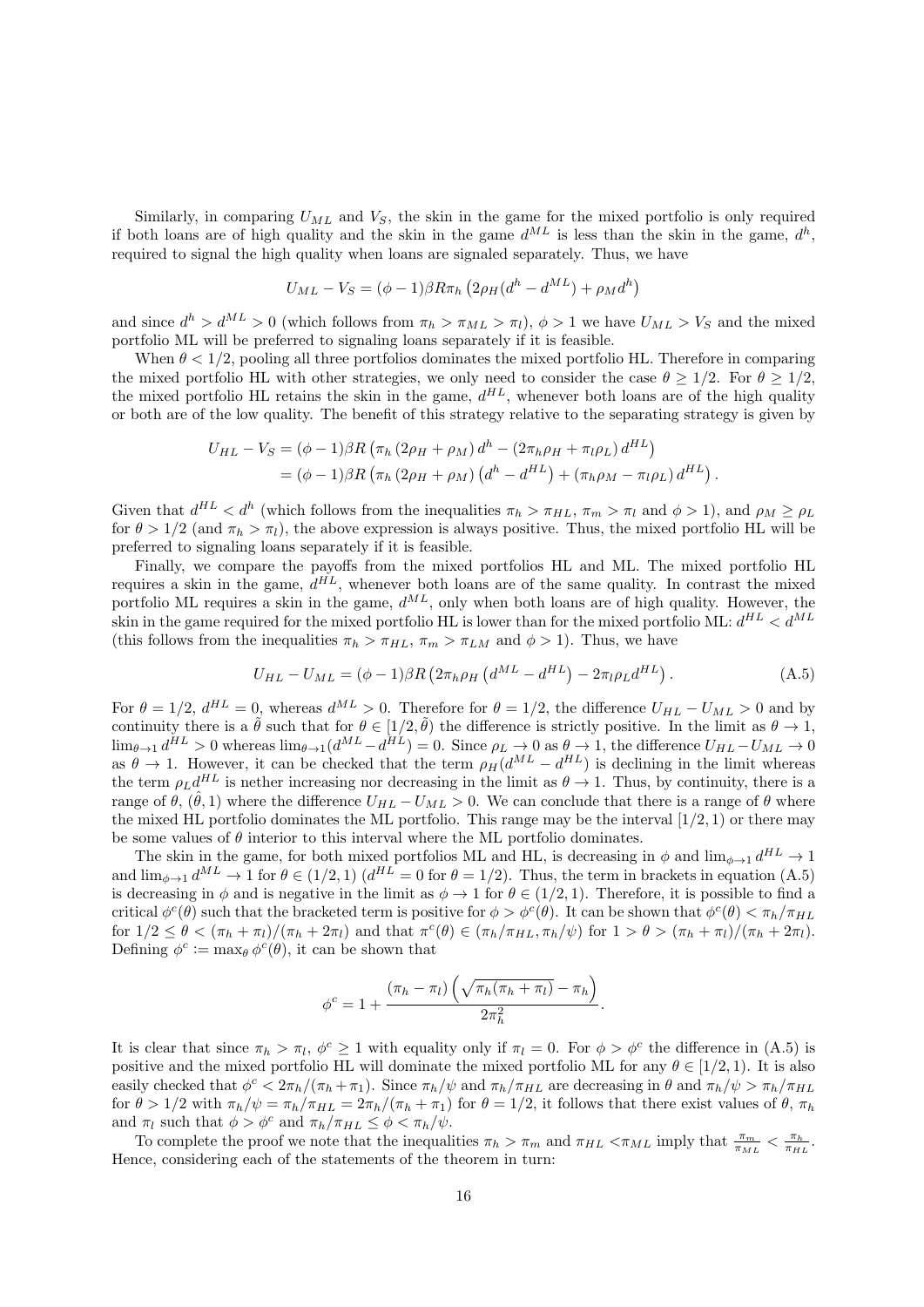Similarly, in comparing  $U_{ML}$  and  $V_S$ , the skin in the game for the mixed portfolio is only required if both loans are of high quality and the skin in the game  $d^{ML}$  is less than the skin in the game,  $d^h$ , required to signal the high quality when loans are signaled separately. Thus, we have

$$
U_{ML} - V_S = (\phi - 1)\beta R \pi_h \left(2\rho_H (d^h - d^{ML}) + \rho_M d^h\right)
$$

and since  $d^h > d^{ML} > 0$  (which follows from  $\pi_h > \pi_{ML} > \pi_l$ ),  $\phi > 1$  we have  $U_{ML} > V_S$  and the mixed portfolio ML will be preferred to signaling loans separately if it is feasible.

When  $\theta < 1/2$ , pooling all three portfolios dominates the mixed portfolio HL. Therefore in comparing the mixed portfolio HL with other strategies, we only need to consider the case  $\theta \geq 1/2$ . For  $\theta \geq 1/2$ , the mixed portfolio HL retains the skin in the game,  $d^{HL}$ , whenever both loans are of the high quality or both are of the low quality. The benefit of this strategy relative to the separating strategy is given by

$$
U_{HL} - V_S = (\phi - 1)\beta R \left(\pi_h (2\rho_H + \rho_M) d^h - (2\pi_h \rho_H + \pi_l \rho_L) d^{HL}\right)
$$
  
=  $(\phi - 1)\beta R \left(\pi_h (2\rho_H + \rho_M) (d^h - d^{HL}) + (\pi_h \rho_M - \pi_l \rho_L) d^{HL}\right).$ 

Given that  $d^{HL} < d^h$  (which follows from the inequalities  $\pi_h > \pi_{HL}$ ,  $\pi_m > \pi_l$  and  $\phi > 1$ ), and  $\rho_M \ge \rho_L$ for  $\theta > 1/2$  (and  $\pi_h > \pi_l$ ), the above expression is always positive. Thus, the mixed portfolio HL will be preferred to signaling loans separately if it is feasible.

Finally, we compare the payoffs from the mixed portfolios HL and ML. The mixed portfolio HL requires a skin in the game,  $d^{HL}$ , whenever both loans are of the same quality. In contrast the mixed portfolio ML requires a skin in the game,  $d^{ML}$ , only when both loans are of high quality. However, the skin in the game required for the mixed portfolio HL is lower than for the mixed portfolio ML:  $d^{HL} < d^{ML}$ (this follows from the inequalities  $\pi_h > \pi_{HL}$ ,  $\pi_m > \pi_{LM}$  and  $\phi > 1$ ). Thus, we have

$$
U_{HL} - U_{ML} = (\phi - 1)\beta R \left(2\pi_h \rho_H \left(d^{ML} - d^{HL}\right) - 2\pi_l \rho_L d^{HL}\right). \tag{A.5}
$$

For  $\theta = 1/2$ ,  $d^{HL} = 0$ , whereas  $d^{ML} > 0$ . Therefore for  $\theta = 1/2$ , the difference  $U_{HL} - U_{ML} > 0$  and by continuity there is a  $\tilde{\theta}$  such that for  $\theta \in [1/2, \tilde{\theta})$  the difference is strictly positive. In the limit as  $\theta \to 1$ ,  $\lim_{\theta\to 1} d^{HL} > 0$  whereas  $\lim_{\theta\to 1} (d^{ML} - d^{HL}) = 0$ . Since  $\rho_L \to 0$  as  $\theta \to 1$ , the difference  $U_{HL} - U_{ML} \to 0$ as  $\theta \to 1$ . However, it can be checked that the term  $\rho_H(d^{ML} - d^{HL})$  is declining in the limit whereas the term  $\rho_L d^{HL}$  is nether increasing nor decreasing in the limit as  $\theta \to 1$ . Thus, by continuity, there is a range of  $\theta$ ,  $(\hat{\theta}, 1)$  where the difference  $U_{HL} - U_{ML} > 0$ . We can conclude that there is a range of  $\theta$  where the mixed HL portfolio dominates the ML portfolio. This range may be the interval  $[1/2, 1)$  or there may be some values of  $\theta$  interior to this interval where the ML portfolio dominates.

The skin in the game, for both mixed portfolios ML and HL, is decreasing in  $\phi$  and  $\lim_{\phi\to 1} d^{HL} \to 1$ and  $\lim_{\phi \to 1} d^{ML} \to 1$  for  $\theta \in (1/2, 1)$   $(d^{HL} = 0$  for  $\theta = 1/2)$ . Thus, the term in brackets in equation (A.5) is decreasing in  $\phi$  and is negative in the limit as  $\phi \to 1$  for  $\theta \in (1/2, 1)$ . Therefore, it is possible to find a critical  $\phi^c(\theta)$  such that the bracketed term is positive for  $\phi > \phi^c(\theta)$ . It can be shown that  $\phi^c(\theta) < \pi_h/\pi_{HL}$ for  $1/2 \leq \theta < (\pi_h + \pi_l)/(\pi_h + 2\pi_l)$  and that  $\pi^c(\theta) \in (\pi_h/\pi_{HL}, \pi_h/\psi)$  for  $1 > \theta > (\pi_h + \pi_l)/(\pi_h + 2\pi_l)$ . Defining  $\phi^c := \max_{\theta} \phi^c(\theta)$ , it can be shown that

$$
\phi^c = 1 + \frac{(\pi_h - \pi_l) \left(\sqrt{\pi_h(\pi_h + \pi_l)} - \pi_h\right)}{2\pi_h^2}.
$$

It is clear that since  $\pi_h > \pi_l$ ,  $\phi^c \ge 1$  with equality only if  $\pi_l = 0$ . For  $\phi > \phi^c$  the difference in (A.5) is positive and the mixed portfolio HL will dominate the mixed portfolio ML for any  $\theta \in [1/2, 1)$ . It is also easily checked that  $\phi^c < 2\pi_h/(\pi_h + \pi_1)$ . Since  $\pi_h/\psi$  and  $\pi_h/\pi_{HL}$  are decreasing in  $\theta$  and  $\pi_h/\psi > \pi_h/\pi_{HL}$ for  $\theta > 1/2$  with  $\pi_h/\psi = \pi_h/\pi_{HL} = 2\pi_h/(\pi_h + \pi_1)$  for  $\theta = 1/2$ , it follows that there exist values of  $\theta$ ,  $\pi_h$ and  $\pi_l$  such that  $\phi > \phi^c$  and  $\pi_h/\pi_{HL} \leq \phi < \pi_h/\psi$ .

To complete the proof we note that the inequalities  $\pi_h > \pi_m$  and  $\pi_{HL} < \pi_{ML}$  imply that  $\frac{\pi_m}{\pi_{ML}} < \frac{\pi_h}{\pi_{HL}}$ . Hence, considering each of the statements of the theorem in turn: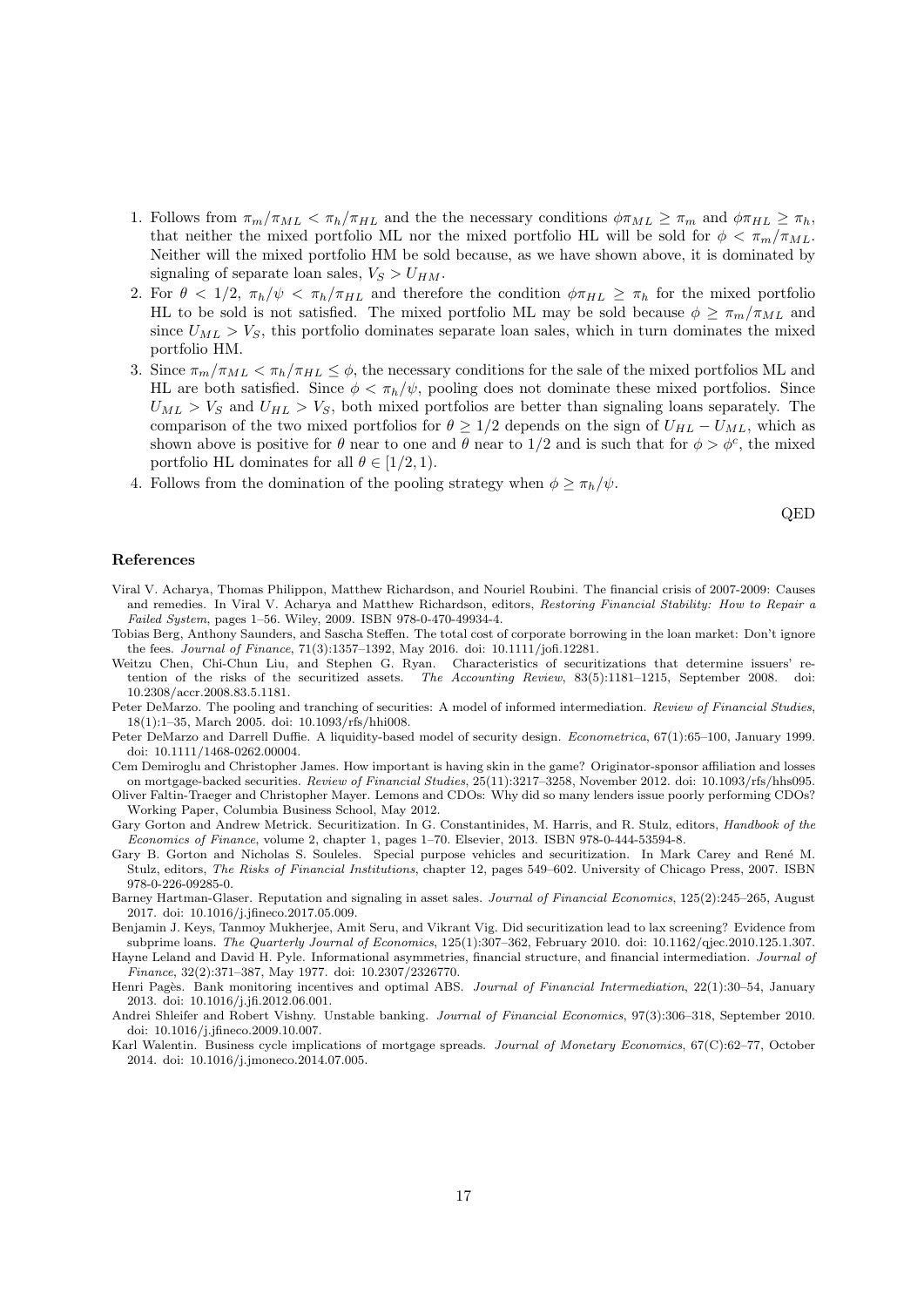- 1. Follows from  $\pi_m/\pi_{ML} < \pi_h/\pi_{HL}$  and the the necessary conditions  $\phi \pi_{ML} \geq \pi_m$  and  $\phi \pi_{HL} \geq \pi_h$ , that neither the mixed portfolio ML nor the mixed portfolio HL will be sold for  $\phi < \pi_m/\pi_{ML}$ . Neither will the mixed portfolio HM be sold because, as we have shown above, it is dominated by signaling of separate loan sales,  $V_S > U_{HM}$ .
- 2. For  $\theta < 1/2$ ,  $\pi_h/\psi < \pi_h/\pi_{HL}$  and therefore the condition  $\phi \pi_{HL} \geq \pi_h$  for the mixed portfolio HL to be sold is not satisfied. The mixed portfolio ML may be sold because  $\phi \geq \pi_m/\pi_{ML}$  and since  $U_{ML} > V_S$ , this portfolio dominates separate loan sales, which in turn dominates the mixed portfolio HM.
- 3. Since  $\pi_m/\pi_{ML} < \pi_h/\pi_{HL} \leq \phi$ , the necessary conditions for the sale of the mixed portfolios ML and HL are both satisfied. Since  $\phi < \pi_h/\psi$ , pooling does not dominate these mixed portfolios. Since  $U_{ML} > V_S$  and  $U_{HL} > V_S$ , both mixed portfolios are better than signaling loans separately. The comparison of the two mixed portfolios for  $\theta \geq 1/2$  depends on the sign of  $U_{HL} - U_{ML}$ , which as shown above is positive for  $\theta$  near to one and  $\theta$  near to 1/2 and is such that for  $\phi > \phi^c$ , the mixed portfolio HL dominates for all  $\theta \in [1/2, 1)$ .
- 4. Follows from the domination of the pooling strategy when  $\phi > \pi_h/\psi$ .

QED

#### References

- Viral V. Acharya, Thomas Philippon, Matthew Richardson, and Nouriel Roubini. The financial crisis of 2007-2009: Causes and remedies. In Viral V. Acharya and Matthew Richardson, editors, Restoring Financial Stability: How to Repair a Failed System, pages 1–56. Wiley, 2009. ISBN 978-0-470-49934-4.
- Tobias Berg, Anthony Saunders, and Sascha Steffen. The total cost of corporate borrowing in the loan market: Don't ignore the fees. Journal of Finance, 71(3):1357–1392, May 2016. doi: 10.1111/jofi.12281.
- Weitzu Chen, Chi-Chun Liu, and Stephen G. Ryan. Characteristics of securitizations that determine issuers' retention of the risks of the securitized assets. The Accounting Review, 83(5):1181–1215, September 2008. doi: 10.2308/accr.2008.83.5.1181.
- Peter DeMarzo. The pooling and tranching of securities: A model of informed intermediation. Review of Financial Studies, 18(1):1–35, March 2005. doi: 10.1093/rfs/hhi008.
- Peter DeMarzo and Darrell Duffie. A liquidity-based model of security design. Econometrica, 67(1):65–100, January 1999. doi: 10.1111/1468-0262.00004.
- Cem Demiroglu and Christopher James. How important is having skin in the game? Originator-sponsor affiliation and losses on mortgage-backed securities. Review of Financial Studies, 25(11):3217–3258, November 2012. doi: 10.1093/rfs/hhs095.
- Oliver Faltin-Traeger and Christopher Mayer. Lemons and CDOs: Why did so many lenders issue poorly performing CDOs? Working Paper, Columbia Business School, May 2012.
- Gary Gorton and Andrew Metrick. Securitization. In G. Constantinides, M. Harris, and R. Stulz, editors, Handbook of the Economics of Finance, volume 2, chapter 1, pages 1–70. Elsevier, 2013. ISBN 978-0-444-53594-8.
- Gary B. Gorton and Nicholas S. Souleles. Special purpose vehicles and securitization. In Mark Carey and Ren´e M. Stulz, editors, The Risks of Financial Institutions, chapter 12, pages 549–602. University of Chicago Press, 2007. ISBN 978-0-226-09285-0.
- Barney Hartman-Glaser. Reputation and signaling in asset sales. Journal of Financial Economics, 125(2):245–265, August 2017. doi: 10.1016/j.jfineco.2017.05.009.
- Benjamin J. Keys, Tanmoy Mukherjee, Amit Seru, and Vikrant Vig. Did securitization lead to lax screening? Evidence from subprime loans. The Quarterly Journal of Economics, 125(1):307–362, February 2010. doi: 10.1162/qjec.2010.125.1.307.
- Hayne Leland and David H. Pyle. Informational asymmetries, financial structure, and financial intermediation. Journal of Finance, 32(2):371–387, May 1977. doi: 10.2307/2326770.
- Henri Pagès. Bank monitoring incentives and optimal ABS. Journal of Financial Intermediation, 22(1):30-54, January 2013. doi: 10.1016/j.jfi.2012.06.001.
- Andrei Shleifer and Robert Vishny. Unstable banking. Journal of Financial Economics, 97(3):306–318, September 2010. doi: 10.1016/j.jfineco.2009.10.007.
- Karl Walentin. Business cycle implications of mortgage spreads. Journal of Monetary Economics, 67(C):62-77, October 2014. doi: 10.1016/j.jmoneco.2014.07.005.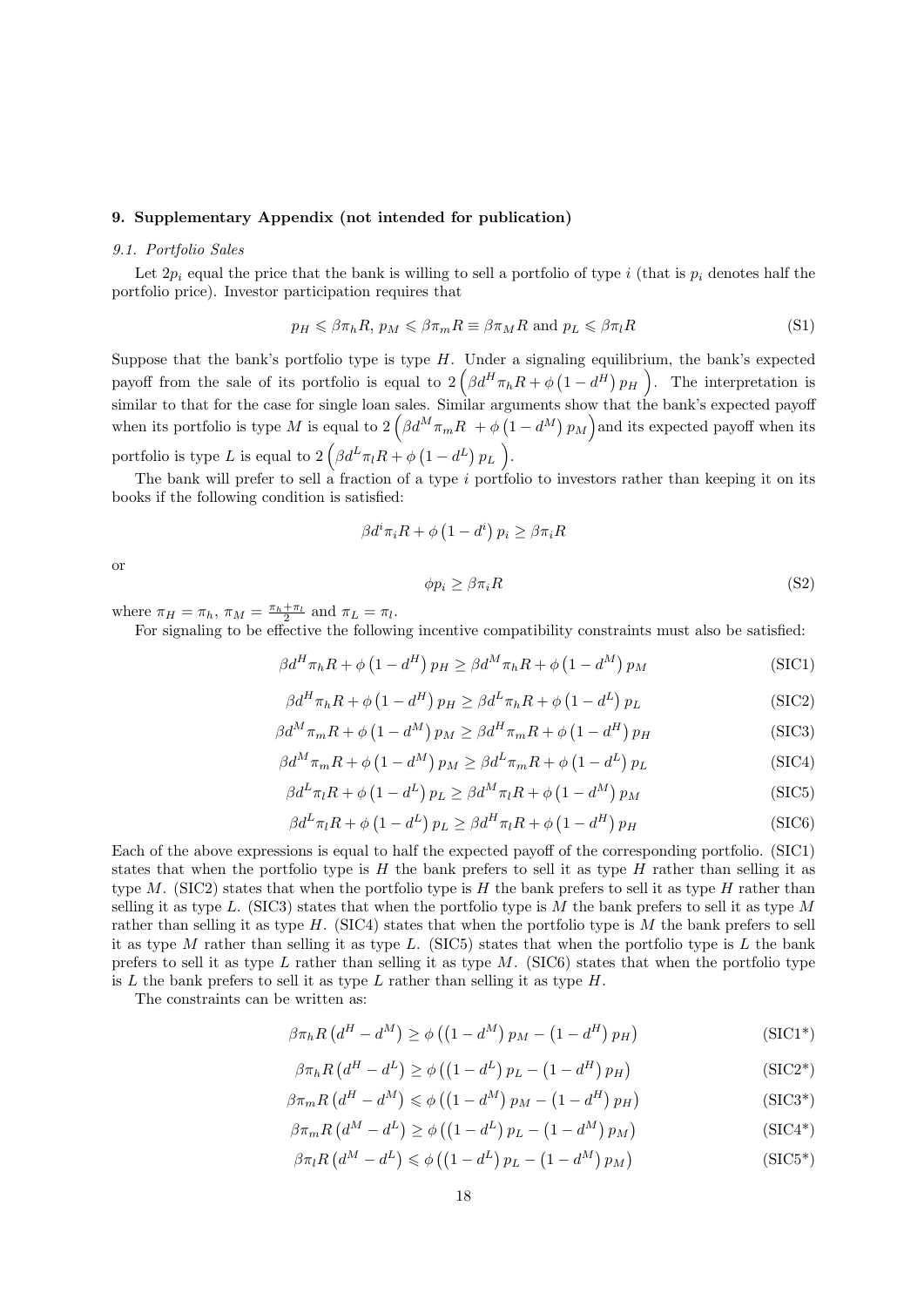# 9. Supplementary Appendix (not intended for publication)

#### 9.1. Portfolio Sales

Let  $2p_i$  equal the price that the bank is willing to sell a portfolio of type i (that is  $p_i$  denotes half the portfolio price). Investor participation requires that

$$
p_H \leq \beta \pi_h R, \ p_M \leq \beta \pi_m R \equiv \beta \pi_M R \text{ and } p_L \leq \beta \pi_l R \tag{S1}
$$

Suppose that the bank's portfolio type is type  $H$ . Under a signaling equilibrium, the bank's expected payoff from the sale of its portfolio is equal to  $2\left(\beta d^H\pi_h R + \phi\left(1-d^H\right)p_H\right)$ . The interpretation is similar to that for the case for single loan sales. Similar arguments show that the bank's expected payoff when its portfolio is type M is equal to  $2\left(\beta d^M\pi_m R + \phi\left(1-d^M\right)p_M\right)$  and its expected payoff when its portfolio is type L is equal to  $2\left(\beta d^L \pi_l R + \phi \left(1 - d^L\right) p_L\right)$ .

The bank will prefer to sell a fraction of a type i portfolio to investors rather than keeping it on its books if the following condition is satisfied:

$$
\beta d^i \pi_i R + \phi \left( 1 - d^i \right) p_i \ge \beta \pi_i R
$$

or

$$
\phi p_i \ge \beta \pi_i R \tag{S2}
$$

where  $\pi_H = \pi_h$ ,  $\pi_M = \frac{\pi_h + \pi_l}{2}$  and  $\pi_L = \pi_l$ .

For signaling to be effective the following incentive compatibility constraints must also be satisfied:

$$
\beta d^{H} \pi_{h} R + \phi \left( 1 - d^{H} \right) p_{H} \geq \beta d^{M} \pi_{h} R + \phi \left( 1 - d^{M} \right) p_{M}
$$
 (SIC1)

$$
\beta d^{H} \pi_{h} R + \phi \left( 1 - d^{H} \right) p_{H} \geq \beta d^{L} \pi_{h} R + \phi \left( 1 - d^{L} \right) p_{L}
$$
\n(SIC2)

$$
\beta d^{M} \pi_{m} R + \phi \left( 1 - d^{M} \right) p_{M} \geq \beta d^{H} \pi_{m} R + \phi \left( 1 - d^{H} \right) p_{H}
$$
\n(SIC3)

$$
\beta d^{M} \pi_{m} R + \phi \left( 1 - d^{M} \right) p_{M} \geq \beta d^{L} \pi_{m} R + \phi \left( 1 - d^{L} \right) p_{L}
$$
\n(SIC4)

$$
\beta d^{L} \pi_{l} R + \phi \left( 1 - d^{L} \right) p_{L} \ge \beta d^{M} \pi_{l} R + \phi \left( 1 - d^{M} \right) p_{M}
$$
 (SIC5)

$$
\beta d^L \pi_l R + \phi \left( 1 - d^L \right) p_L \ge \beta d^H \pi_l R + \phi \left( 1 - d^H \right) p_H \tag{SIC6}
$$

Each of the above expressions is equal to half the expected payoff of the corresponding portfolio. (SIC1) states that when the portfolio type is  $H$  the bank prefers to sell it as type  $H$  rather than selling it as type M. (SIC2) states that when the portfolio type is H the bank prefers to sell it as type H rather than selling it as type L. (SIC3) states that when the portfolio type is M the bank prefers to sell it as type M rather than selling it as type  $H$ . (SIC4) states that when the portfolio type is  $M$  the bank prefers to sell it as type M rather than selling it as type L. (SIC5) states that when the portfolio type is L the bank prefers to sell it as type L rather than selling it as type  $M$ . (SIC6) states that when the portfolio type is L the bank prefers to sell it as type L rather than selling it as type  $H$ .

The constraints can be written as:

$$
\beta \pi_h R \left( d^H - d^M \right) \ge \phi \left( \left( 1 - d^M \right) p_M - \left( 1 - d^H \right) p_H \right) \tag{SIC1*}
$$

$$
\beta \pi_h R \left( d^H - d^L \right) \ge \phi \left( \left( 1 - d^L \right) p_L - \left( 1 - d^H \right) p_H \right) \tag{SIC2*}
$$

$$
\beta \pi_m R \left( d^H - d^M \right) \leqslant \phi \left( \left( 1 - d^M \right) p_M - \left( 1 - d^H \right) p_H \right) \tag{SIC3*}
$$

$$
\beta \pi_m R \left( d^M - d^L \right) \ge \phi \left( \left( 1 - d^L \right) p_L - \left( 1 - d^M \right) p_M \right) \tag{SIC4*}
$$

$$
\beta \pi_l R \left( d^M - d^L \right) \leqslant \phi \left( \left( 1 - d^L \right) p_L - \left( 1 - d^M \right) p_M \right) \tag{SIC5*}
$$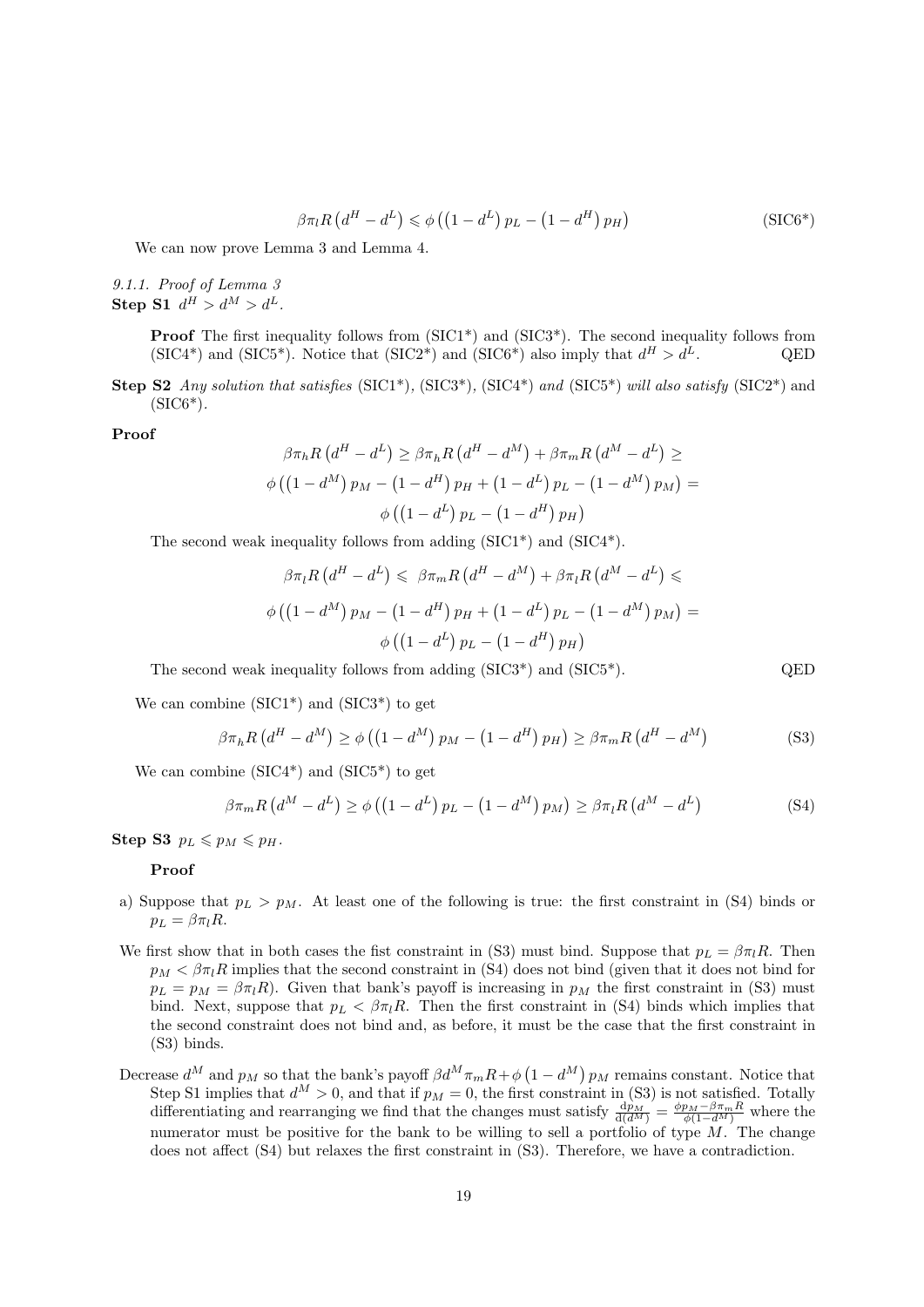$$
\beta \pi_l R \left( d^H - d^L \right) \leqslant \phi \left( \left( 1 - d^L \right) p_L - \left( 1 - d^H \right) p_H \right) \tag{SIC6*}
$$

We can now prove Lemma 3 and Lemma 4.

9.1.1. Proof of Lemma 3 Step S1  $d^H > d^M > d^L$ .

> **Proof** The first inequality follows from (SIC1<sup>\*</sup>) and (SIC3<sup>\*</sup>). The second inequality follows from (SIC4\*) and (SIC5\*). Notice that (SIC2\*) and (SIC6\*) also imply that  $d^H > d^L$ . QED

Step S2 Any solution that satisfies  $(SIC1<sup>*</sup>)$ ,  $(SIC3<sup>*</sup>)$ ,  $(SIC4<sup>*</sup>)$  and  $(SIC5<sup>*</sup>)$  will also satisfy  $(SIC2<sup>*</sup>)$  and  $(SIC6^*)$ .

Proof

$$
\beta \pi_h R (d^H - d^L) \ge \beta \pi_h R (d^H - d^M) + \beta \pi_m R (d^M - d^L) \ge
$$
  

$$
\phi ((1 - d^M) p_M - (1 - d^H) p_H + (1 - d^L) p_L - (1 - d^M) p_M) =
$$
  

$$
\phi ((1 - d^L) p_L - (1 - d^H) p_H)
$$

The second weak inequality follows from adding  $(SIC1^*)$  and  $(SIC4^*)$ .

$$
\beta \pi_l R \left( d^H - d^L \right) \leq \beta \pi_m R \left( d^H - d^M \right) + \beta \pi_l R \left( d^M - d^L \right) \leq
$$
  

$$
\phi \left( \left( 1 - d^M \right) p_M - \left( 1 - d^H \right) p_H + \left( 1 - d^L \right) p_L - \left( 1 - d^M \right) p_M \right) =
$$
  

$$
\phi \left( \left( 1 - d^L \right) p_L - \left( 1 - d^H \right) p_H \right)
$$

The second weak inequality follows from adding  $(SIC3^*)$  and  $(SIC5^*)$ . QED

We can combine  $(SIC1*)$  and  $(SIC3*)$  to get

$$
\beta \pi_h R \left( d^H - d^M \right) \ge \phi \left( \left( 1 - d^M \right) p_M - \left( 1 - d^H \right) p_H \right) \ge \beta \pi_m R \left( d^H - d^M \right) \tag{S3}
$$

We can combine  $(SIC4^*)$  and  $(SIC5^*)$  to get

$$
\beta \pi_m R \left( d^M - d^L \right) \ge \phi \left( \left( 1 - d^L \right) p_L - \left( 1 - d^M \right) p_M \right) \ge \beta \pi_l R \left( d^M - d^L \right) \tag{S4}
$$

Step S3  $p_L \leqslant p_M \leqslant p_H$ .

Proof

- a) Suppose that  $p_L > p_M$ . At least one of the following is true: the first constraint in (S4) binds or  $p_L = \beta \pi_l R$ .
- We first show that in both cases the fist constraint in (S3) must bind. Suppose that  $p_L = \beta \pi_l R$ . Then  $p_M < \beta \pi_l R$  implies that the second constraint in (S4) does not bind (given that it does not bind for  $p_L = p_M = \beta \pi_l R$ ). Given that bank's payoff is increasing in  $p_M$  the first constraint in (S3) must bind. Next, suppose that  $p_L < \beta \pi_l R$ . Then the first constraint in (S4) binds which implies that the second constraint does not bind and, as before, it must be the case that the first constraint in (S3) binds.
- Decrease  $d^M$  and  $p_M$  so that the bank's payoff  $\beta d^M \pi_m R + \phi \left(1 d^M\right) p_M$  remains constant. Notice that Step S1 implies that  $d^M > 0$ , and that if  $p_M = 0$ , the first constraint in (S3) is not satisfied. Totally differentiating and rearranging we find that the changes must satisfy  $\frac{dp_M}{d(d^M)} = \frac{\phi p_M - \beta \pi_m R}{\phi(1-d^M)}$  where the numerator must be positive for the bank to be willing to sell a portfolio of type  $M$ . The change does not affect (S4) but relaxes the first constraint in (S3). Therefore, we have a contradiction.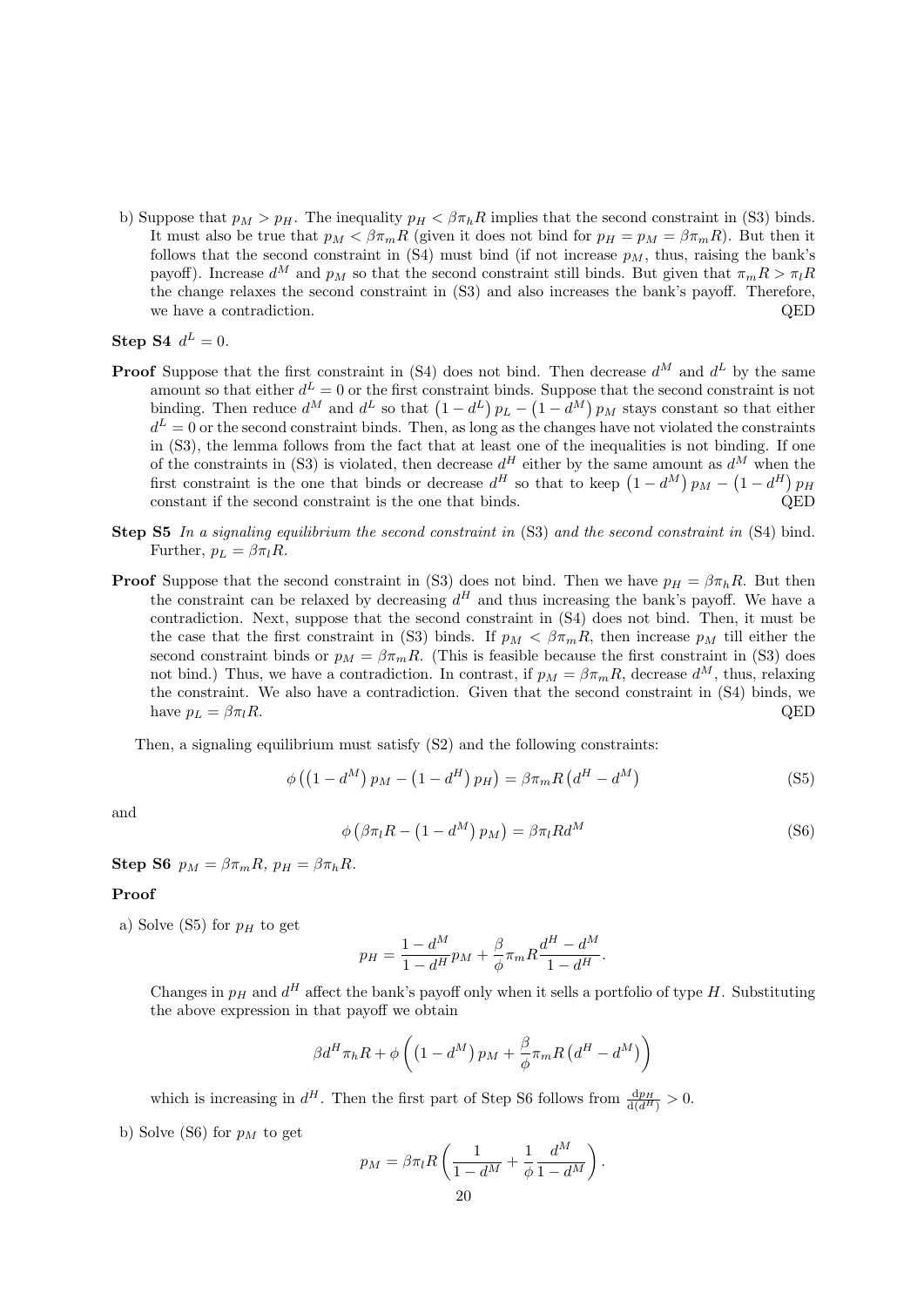b) Suppose that  $p_M > p_H$ . The inequality  $p_H < \beta \pi_h R$  implies that the second constraint in (S3) binds. It must also be true that  $p_M < \beta \pi_m R$  (given it does not bind for  $p_H = p_M = \beta \pi_m R$ ). But then it follows that the second constraint in  $(S4)$  must bind (if not increase  $p_M$ , thus, raising the bank's payoff). Increase  $d^M$  and  $p_M$  so that the second constraint still binds. But given that  $\pi_m R > \pi_l R$ the change relaxes the second constraint in (S3) and also increases the bank's payoff. Therefore, we have a contradiction. QED

# Step S4  $d^L = 0$ .

- **Proof** Suppose that the first constraint in (S4) does not bind. Then decrease  $d^M$  and  $d^L$  by the same amount so that either  $d^L = 0$  or the first constraint binds. Suppose that the second constraint is not binding. Then reduce  $d^M$  and  $d^L$  so that  $(1-d^L)p_L-(1-d^M)p_M$  stays constant so that either  $d^L = 0$  or the second constraint binds. Then, as long as the changes have not violated the constraints in (S3), the lemma follows from the fact that at least one of the inequalities is not binding. If one of the constraints in (S3) is violated, then decrease  $d^H$  either by the same amount as  $d^M$  when the first constraint is the one that binds or decrease  $d^H$  so that to keep  $(1-d^M)p_M-(1-d^H)p_H$ constant if the second constraint is the one that binds. QED
- Step S5 In a signaling equilibrium the second constraint in (S3) and the second constraint in (S4) bind. Further,  $p_L = \beta \pi_l R$ .
- **Proof** Suppose that the second constraint in (S3) does not bind. Then we have  $p_H = \beta \pi_h R$ . But then the constraint can be relaxed by decreasing  $d^H$  and thus increasing the bank's payoff. We have a contradiction. Next, suppose that the second constraint in (S4) does not bind. Then, it must be the case that the first constraint in (S3) binds. If  $p_M < \beta \pi_m R$ , then increase  $p_M$  till either the second constraint binds or  $p_M = \beta \pi_m R$ . (This is feasible because the first constraint in (S3) does not bind.) Thus, we have a contradiction. In contrast, if  $p_M = \beta \pi_m R$ , decrease  $d^M$ , thus, relaxing the constraint. We also have a contradiction. Given that the second constraint in (S4) binds, we have  $p_L = \beta \pi_l R$ . QED

Then, a signaling equilibrium must satisfy (S2) and the following constraints:

$$
\phi\left(\left(1-d^M\right)p_M - \left(1-d^H\right)p_H\right) = \beta \pi_m R \left(d^H - d^M\right) \tag{S5}
$$

and

$$
\phi \left(\beta \pi_l R - \left(1 - d^M\right) p_M\right) = \beta \pi_l R d^M \tag{S6}
$$

Step S6  $p_M = \beta \pi_m R$ ,  $p_H = \beta \pi_h R$ .

## Proof

a) Solve (S5) for  $p<sub>H</sub>$  to get

$$
p_{H} = \frac{1 - d^{M}}{1 - d^{H}} p_{M} + \frac{\beta}{\phi} \pi_{m} R \frac{d^{H} - d^{M}}{1 - d^{H}}.
$$

Changes in  $p_H$  and  $d^H$  affect the bank's payoff only when it sells a portfolio of type H. Substituting the above expression in that payoff we obtain

$$
\beta d^{H} \pi_{h} R + \phi \left( \left( 1 - d^{M} \right) p_{M} + \frac{\beta}{\phi} \pi_{m} R \left( d^{H} - d^{M} \right) \right)
$$

which is increasing in  $d^H$ . Then the first part of Step S6 follows from  $\frac{dp_H}{d(d^H)} > 0$ .

b) Solve (S6) for  $p<sub>M</sub>$  to get

$$
p_M = \beta \pi_l R \left( \frac{1}{1 - d^M} + \frac{1}{\phi} \frac{d^M}{1 - d^M} \right).
$$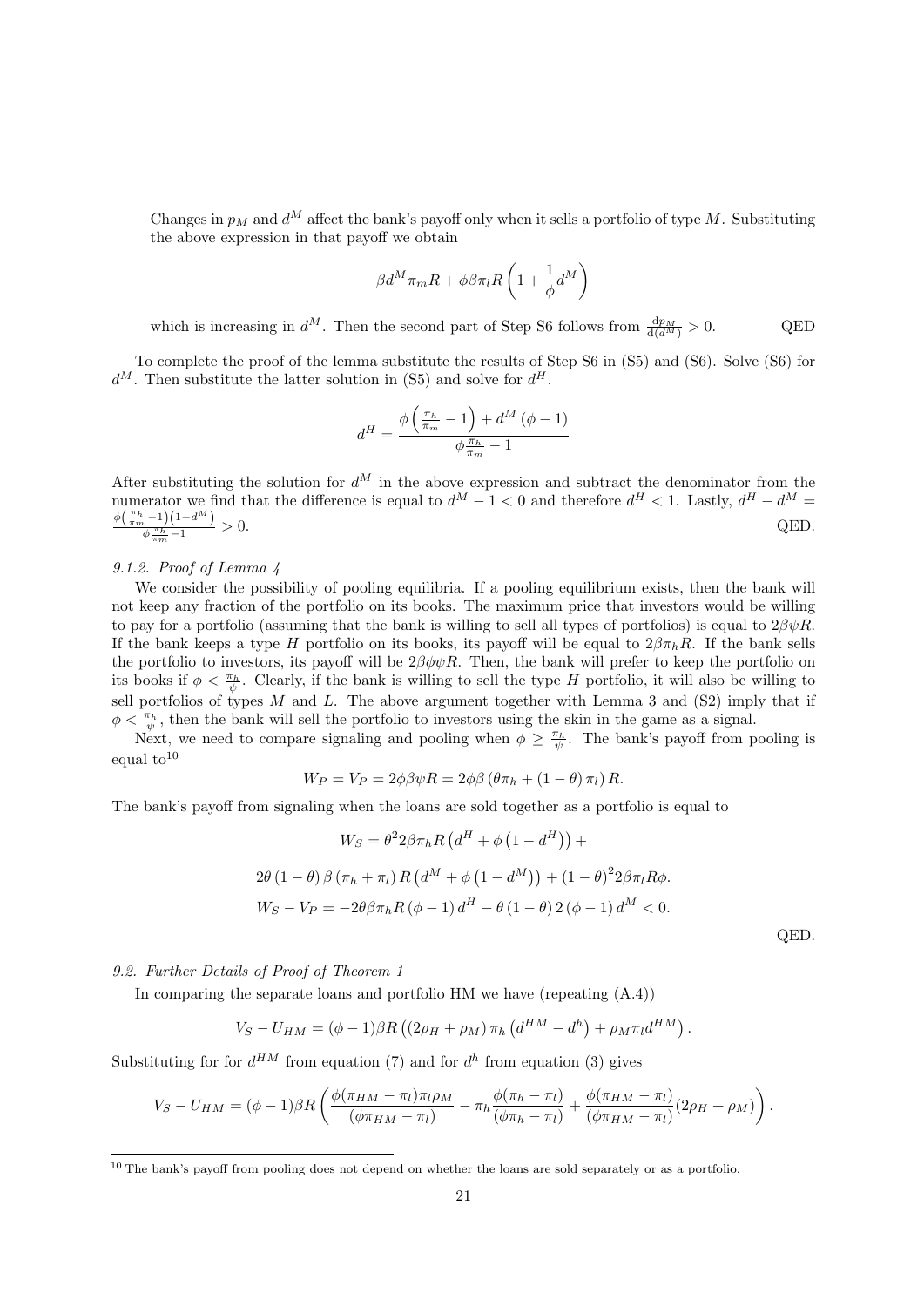Changes in  $p_M$  and  $d^M$  affect the bank's payoff only when it sells a portfolio of type M. Substituting the above expression in that payoff we obtain

$$
\beta d^M \pi_m R + \phi \beta \pi_l R \left( 1 + \frac{1}{\phi} d^M \right)
$$

which is increasing in  $d^M$ . Then the second part of Step S6 follows from  $\frac{dp_M}{d(d^M)} > 0$ . QED

To complete the proof of the lemma substitute the results of Step S6 in (S5) and (S6). Solve (S6) for  $d^M$ . Then substitute the latter solution in (S5) and solve for  $d^H$ .

$$
d^H = \frac{\phi\left(\frac{\pi_h}{\pi_m} - 1\right) + d^M\left(\phi - 1\right)}{\phi\frac{\pi_h}{\pi_m} - 1}
$$

After substituting the solution for  $d^M$  in the above expression and subtract the denominator from the numerator we find that the difference is equal to  $d^M - 1 < 0$  and therefore  $d^H < 1$ . Lastly,  $d^H - d^M =$  $\frac{\phi\left(\frac{\pi_h}{\pi_m}-1\right)\left(1-d^M\right)}{m}$  $\frac{\pi_h}{\pi_m} - 1$  $> 0.$  QED.

## 9.1.2. Proof of Lemma 4

We consider the possibility of pooling equilibria. If a pooling equilibrium exists, then the bank will not keep any fraction of the portfolio on its books. The maximum price that investors would be willing to pay for a portfolio (assuming that the bank is willing to sell all types of portfolios) is equal to  $2\beta\psi R$ . If the bank keeps a type H portfolio on its books, its payoff will be equal to  $2\beta\pi_hR$ . If the bank sells the portfolio to investors, its payoff will be  $2\beta\phi\psi R$ . Then, the bank will prefer to keep the portfolio on its books if  $\phi < \frac{\pi_h}{\psi}$ . Clearly, if the bank is willing to sell the type H portfolio, it will also be willing to sell portfolios of types  $M$  and  $L$ . The above argument together with Lemma 3 and (S2) imply that if  $\phi < \frac{\pi_h}{\psi}$ , then the bank will sell the portfolio to investors using the skin in the game as a signal.

Next, we need to compare signaling and pooling when  $\phi \geq \frac{\pi_h}{\psi}$ . The bank's payoff from pooling is equal  $to^{10}$ 

$$
W_P = V_P = 2\phi\beta\psi R = 2\phi\beta\left(\theta\pi_h + (1-\theta)\pi_l\right)R.
$$

The bank's payoff from signaling when the loans are sold together as a portfolio is equal to

$$
W_S = \theta^2 2\beta \pi_h R \left( d^H + \phi \left( 1 - d^H \right) \right) +
$$
  
\n
$$
2\theta \left( 1 - \theta \right) \beta \left( \pi_h + \pi_l \right) R \left( d^M + \phi \left( 1 - d^M \right) \right) + (1 - \theta)^2 2\beta \pi_l R \phi.
$$
  
\n
$$
W_S - V_P = -2\theta \beta \pi_h R \left( \phi - 1 \right) d^H - \theta \left( 1 - \theta \right) 2 \left( \phi - 1 \right) d^M < 0.
$$
  
\nQED.

#### 9.2. Further Details of Proof of Theorem 1

In comparing the separate loans and portfolio HM we have (repeating (A.4))

$$
V_S - U_{HM} = (\phi - 1)\beta R \left( (2\rho_H + \rho_M) \pi_h \left( d^{HM} - d^h \right) + \rho_M \pi_l d^{HM} \right).
$$

Substituting for for  $d^{HM}$  from equation (7) and for  $d^h$  from equation (3) gives

$$
V_S - U_{HM} = (\phi - 1)\beta R \left( \frac{\phi(\pi_{HM} - \pi_l)\pi_l \rho_M}{(\phi \pi_{HM} - \pi_l)} - \pi_h \frac{\phi(\pi_h - \pi_l)}{(\phi \pi_h - \pi_l)} + \frac{\phi(\pi_{HM} - \pi_l)}{(\phi \pi_{HM} - \pi_l)} (2\rho_H + \rho_M) \right).
$$

<sup>&</sup>lt;sup>10</sup> The bank's payoff from pooling does not depend on whether the loans are sold separately or as a portfolio.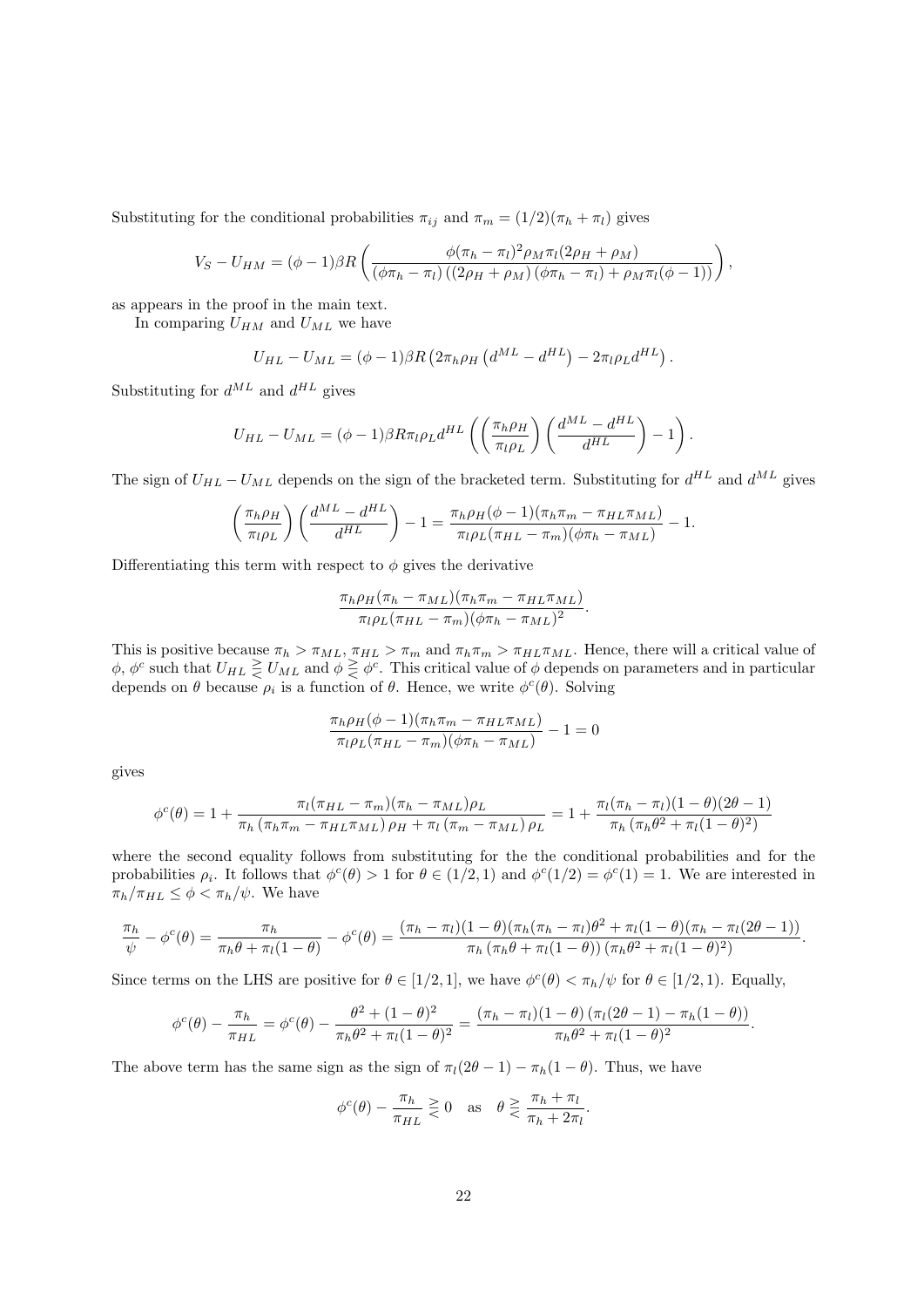Substituting for the conditional probabilities  $\pi_{ij}$  and  $\pi_m = (1/2)(\pi_h + \pi_l)$  gives

$$
V_S - U_{HM} = (\phi - 1)\beta R \left( \frac{\phi(\pi_h - \pi_l)^2 \rho_M \pi_l (2\rho_H + \rho_M)}{(\phi \pi_h - \pi_l) ((2\rho_H + \rho_M) (\phi \pi_h - \pi_l) + \rho_M \pi_l (\phi - 1))} \right),
$$

as appears in the proof in the main text.

In comparing  $U_{HM}$  and  $U_{ML}$  we have

$$
U_{HL}-U_{ML}=(\phi-1)\beta R\left(2\pi_h\rho_H\left(d^{ML}-d^{HL}\right)-2\pi_l\rho_L d^{HL}\right).
$$

Substituting for  $d^{ML}$  and  $d^{HL}$  gives

$$
U_{HL} - U_{ML} = (\phi - 1)\beta R \pi_l \rho_L d^{HL} \left( \left( \frac{\pi_h \rho_H}{\pi_l \rho_L} \right) \left( \frac{d^{ML} - d^{HL}}{d^{HL}} \right) - 1 \right).
$$

The sign of  $U_{HL} - U_{ML}$  depends on the sign of the bracketed term. Substituting for  $d^{HL}$  and  $d^{ML}$  gives

$$
\left(\frac{\pi_h \rho_H}{\pi_l \rho_L}\right) \left(\frac{d^{ML} - d^{HL}}{d^{HL}}\right) - 1 = \frac{\pi_h \rho_H (\phi - 1)(\pi_h \pi_m - \pi_{HL} \pi_{ML})}{\pi_l \rho_L (\pi_{HL} - \pi_m)(\phi \pi_h - \pi_{ML})} - 1.
$$

Differentiating this term with respect to  $\phi$  gives the derivative

$$
\frac{\pi_h \rho_H (\pi_h - \pi_{ML}) (\pi_h \pi_m - \pi_{HL} \pi_{ML})}{\pi_l \rho_L (\pi_{HL} - \pi_m) (\phi \pi_h - \pi_{ML})^2}.
$$

This is positive because  $\pi_h > \pi_{ML}$ ,  $\pi_{HL} > \pi_m$  and  $\pi_h \pi_m > \pi_{HL} \pi_{ML}$ . Hence, there will a critical value of  $\phi, \phi^c$  such that  $U_{HL} \geq U_{ML}$  and  $\phi \geq \phi^c$ . This critical value of  $\phi$  depends on parameters and in particular depends on  $\theta$  because  $\rho_i$  is a function of  $\theta$ . Hence, we write  $\phi^c(\theta)$ . Solving

$$
\frac{\pi_h \rho_H(\phi - 1)(\pi_h \pi_m - \pi_{HL} \pi_{ML})}{\pi_l \rho_L (\pi_{HL} - \pi_m)(\phi \pi_h - \pi_{ML})} - 1 = 0
$$

gives

$$
\phi^{c}(\theta) = 1 + \frac{\pi_{l}(\pi_{HL} - \pi_{m})(\pi_{h} - \pi_{ML})\rho_{L}}{\pi_{h}(\pi_{h}\pi_{m} - \pi_{HL}\pi_{ML})\rho_{H} + \pi_{l}(\pi_{m} - \pi_{ML})\rho_{L}} = 1 + \frac{\pi_{l}(\pi_{h} - \pi_{l})(1 - \theta)(2\theta - 1)}{\pi_{h}(\pi_{h}\theta^{2} + \pi_{l}(1 - \theta)^{2})}
$$

where the second equality follows from substituting for the the conditional probabilities and for the probabilities  $\rho_i$ . It follows that  $\phi^c(\theta) > 1$  for  $\theta \in (1/2, 1)$  and  $\phi^c(1/2) = \phi^c(1) = 1$ . We are interested in  $\pi_h/\pi_{HL} \leq \phi < \pi_h/\psi$ . We have

$$
\frac{\pi_h}{\psi} - \phi^c(\theta) = \frac{\pi_h}{\pi_h \theta + \pi_l (1-\theta)} - \phi^c(\theta) = \frac{(\pi_h - \pi_l)(1-\theta)(\pi_h(\pi_h - \pi_l)\theta^2 + \pi_l(1-\theta)(\pi_h - \pi_l(2\theta - 1))}{\pi_h(\pi_h \theta + \pi_l(1-\theta))(\pi_h \theta^2 + \pi_l(1-\theta)^2)}.
$$

Since terms on the LHS are positive for  $\theta \in [1/2, 1]$ , we have  $\phi^c(\theta) < \pi_h/\psi$  for  $\theta \in [1/2, 1]$ . Equally,

$$
\phi^c(\theta) - \frac{\pi_h}{\pi_{HL}} = \phi^c(\theta) - \frac{\theta^2 + (1-\theta)^2}{\pi_h \theta^2 + \pi_l (1-\theta)^2} = \frac{(\pi_h - \pi_l)(1-\theta) (\pi_l (2\theta - 1) - \pi_h (1-\theta))}{\pi_h \theta^2 + \pi_l (1-\theta)^2}.
$$

The above term has the same sign as the sign of  $\pi_l(2\theta - 1) - \pi_h(1 - \theta)$ . Thus, we have

$$
\phi^c(\theta) - \frac{\pi_h}{\pi_{HL}} \gtreqless 0 \quad \text{as} \quad \theta \gtreqless \frac{\pi_h + \pi_l}{\pi_h + 2\pi_l}.
$$